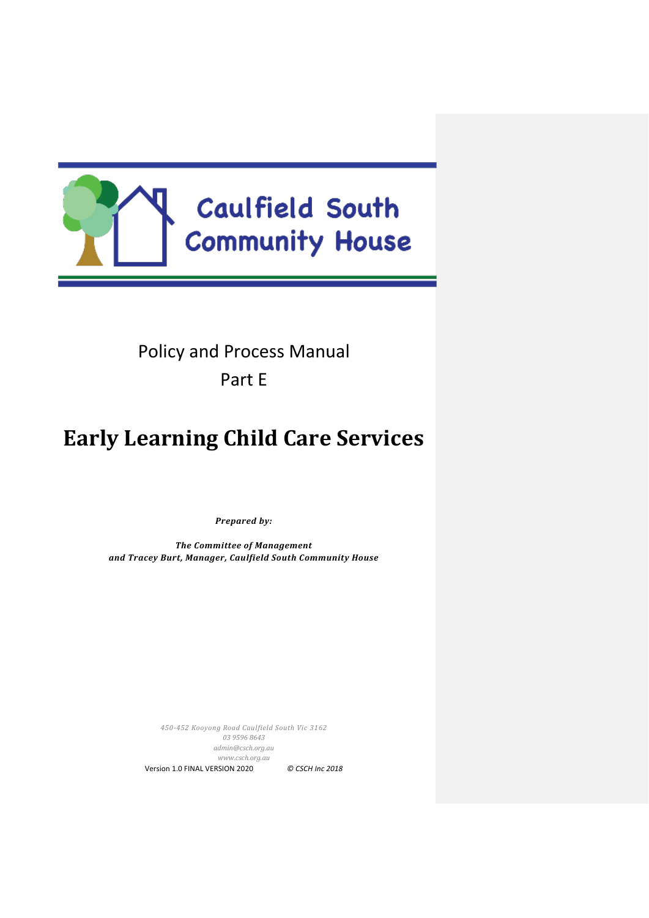

Policy and Process Manual Part E

# **Early Learning Child Care Services**

*Prepared by:*

*The Committee of Management and Tracey Burt, Manager, Caulfield South Community House*

> *450-452 Kooyong Road Caulfield South Vic 3162 03 9596 8643 [admin@csch.org.au](mailto:admin@csch.org.au) [www.csch.org.au](http://www.csch.org.au/)* Version 1.0 FINAL VERSION 2020 *© CSCH Inc 2018*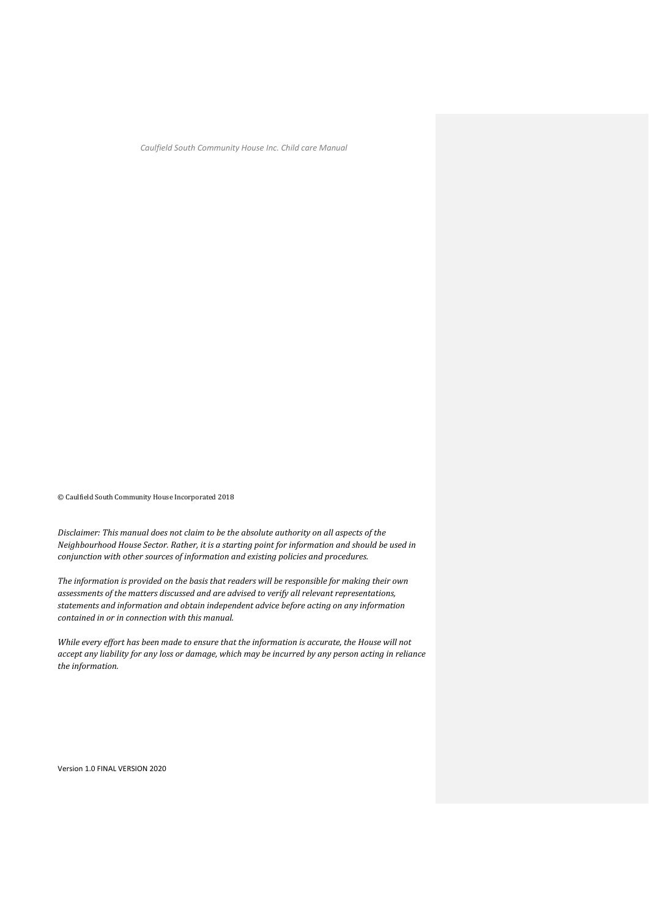© Caulfield South Community House Incorporated 2018

*Disclaimer: This manual does not claim to be the absolute authority on all aspects of the Neighbourhood House Sector. Rather, it is a starting point for information and should be used in conjunction with other sources of information and existing policies and procedures.*

*The information is provided on the basis that readers will be responsible for making their own assessments of the matters discussed and are advised to verify all relevant representations, statements and information and obtain independent advice before acting on any information contained in or in connection with this manual.*

*While every effort has been made to ensure that the information is accurate, the House will not accept any liability for any loss or damage, which may be incurred by any person acting in reliance the information.*

Version 1.0 FINAL VERSION 2020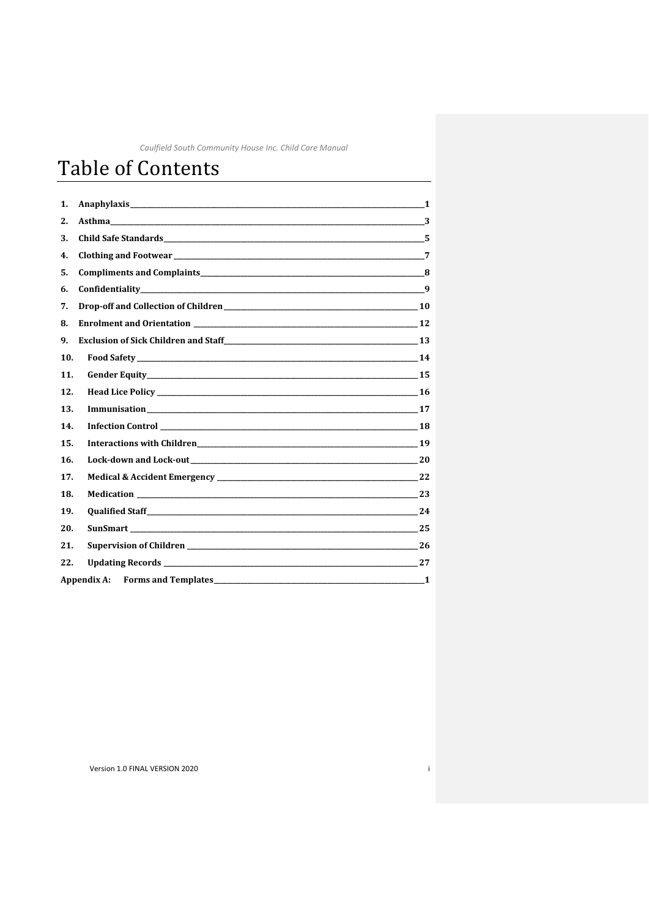# Table of Contents

| 1.  |                                                                                                                |                |
|-----|----------------------------------------------------------------------------------------------------------------|----------------|
| 2.  |                                                                                                                |                |
| 3.  |                                                                                                                |                |
| 4.  |                                                                                                                | $\overline{7}$ |
| 5.  | Compliments and Complaints 2000 and 2000 and 2000 and 2000 and 2000 and 2000 and 2000 and 2000 and 2000 and 20 |                |
| 6.  |                                                                                                                |                |
| 7.  |                                                                                                                |                |
| 8.  | Enrolment and Orientation 12                                                                                   |                |
| 9.  |                                                                                                                |                |
| 10. |                                                                                                                |                |
| 11. |                                                                                                                |                |
| 12. |                                                                                                                |                |
| 13. |                                                                                                                |                |
| 14. |                                                                                                                |                |
| 15. |                                                                                                                |                |
| 16. |                                                                                                                |                |
| 17. |                                                                                                                |                |
| 18. | <b>Medication</b> 23                                                                                           |                |
| 19. |                                                                                                                |                |
| 20. |                                                                                                                | 25             |
| 21. |                                                                                                                |                |
| 22. |                                                                                                                |                |
|     | Appendix A:                                                                                                    |                |

 $\mathbf{i}$ 

Version 1.0 FINAL VERSION 2020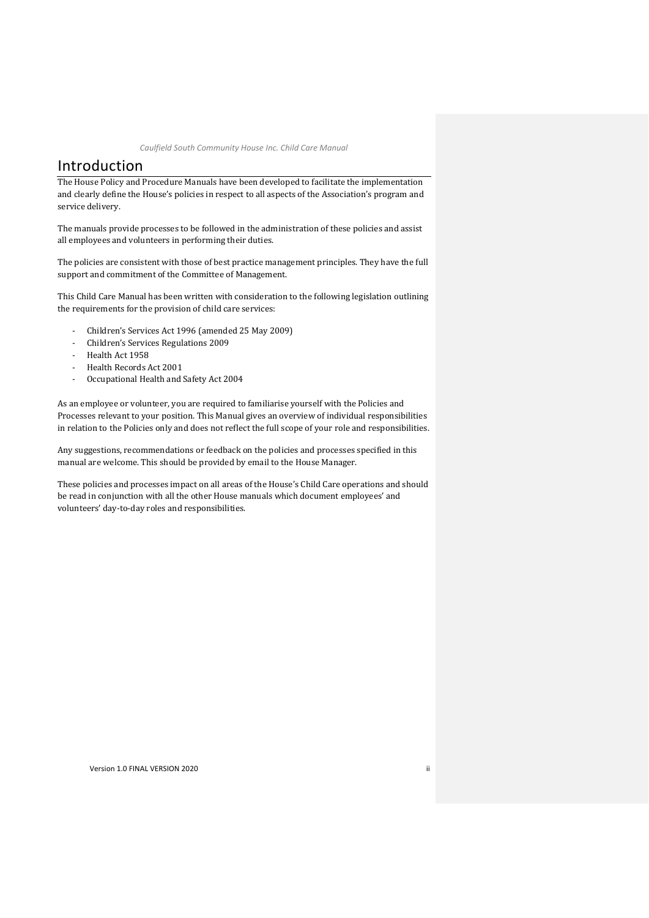## Introduction

The House Policy and Procedure Manuals have been developed to facilitate the implementation and clearly define the House's policies in respect to all aspects of the Association's program and service delivery.

The manuals provide processes to be followed in the administration of these policies and assist all employees and volunteers in performing their duties.

The policies are consistent with those of best practice management principles. They have the full support and commitment of the Committee of Management.

This Child Care Manual has been written with consideration to the following legislation outlining the requirements for the provision of child care services:

- Children's Services Act 1996 (amended 25 May 2009)
- Children's Services Regulations 2009
- Health Act 1958
- Health Records Act 2001
- Occupational Health and Safety Act 2004

As an employee or volunteer, you are required to familiarise yourself with the Policies and Processes relevant to your position. This Manual gives an overview of individual responsibilities in relation to the Policies only and does not reflect the full scope of your role and responsibilities.

Any suggestions, recommendations or feedback on the policies and processes specified in this manual are welcome. This should be provided by email to the House Manager.

These policies and processes impact on all areas of the House's Child Care operations and should be read in conjunction with all the other House manuals which document employees' and volunteers' day-to-day roles and responsibilities.

Version 1.0 FINAL VERSION 2020 **iii**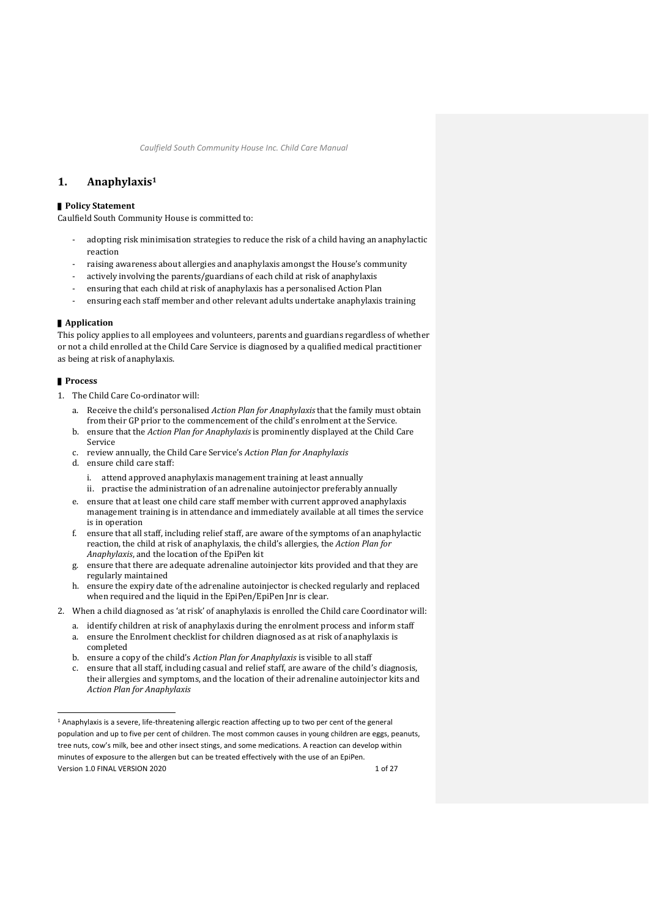## <span id="page-4-0"></span>**1. Anaphylaxis<sup>1</sup>**

#### ▌**Policy Statement**

Caulfield South Community House is committed to:

- adopting risk minimisation strategies to reduce the risk of a child having an anaphylactic reaction
- raising awareness about allergies and anaphylaxis amongst the House's community
- actively involving the parents/guardians of each child at risk of anaphylaxis
- ensuring that each child at risk of anaphylaxis has a personalised Action Plan
- ensuring each staff member and other relevant adults undertake anaphylaxis training

#### ■ **Application**

This policy applies to all employees and volunteers, parents and guardians regardless of whether or not a child enrolled at the Child Care Service is diagnosed by a qualified medical practitioner as being at risk of anaphylaxis.

- 1. The Child Care Co-ordinator will:
	- a. Receive the child's personalised *Action Plan for Anaphylaxis* that the family must obtain from their GP prior to the commencement of the child's enrolment at the Service.
	- b. ensure that the *Action Plan for Anaphylaxis* is prominently displayed at the Child Care Service
	- c. review annually, the Child Care Service's *Action Plan for Anaphylaxis*
	- d. ensure child care staff:
		- i. attend approved anaphylaxis management training at least annually
		- ii. practise the administration of an adrenaline autoinjector preferably annually
	- e. ensure that at least one child care staff member with current approved anaphylaxis management training is in attendance and immediately available at all times the service is in operation
	- f. ensure that all staff, including relief staff, are aware of the symptoms of an anaphylactic reaction, the child at risk of anaphylaxis, the child's allergies, the *Action Plan for Anaphylaxis*, and the location of the EpiPen kit
	- g. ensure that there are adequate adrenaline autoinjector kits provided and that they are regularly maintained
	- h. ensure the expiry date of the adrenaline autoinjector is checked regularly and replaced when required and the liquid in the EpiPen/EpiPen Jnr is clear.
- 2. When a child diagnosed as 'at risk' of anaphylaxis is enrolled the Child care Coordinator will:
	- a. identify children at risk of anaphylaxis during the enrolment process and inform staff a. ensure the Enrolment checklist for children diagnosed as at risk of anaphylaxis is completed
	- b. ensure a copy of the child's *Action Plan for Anaphylaxis* is visible to all staff
	- c. ensure that all staff, including casual and relief staff, are aware of the child's diagnosis, their allergies and symptoms, and the location of their adrenaline autoinjector kits and *Action Plan for Anaphylaxis*

Version 1.0 FINAL VERSION 2020 1 of 27 <sup>1</sup> Anaphylaxis is a severe, life-threatening allergic reaction affecting up to two per cent of the general population and up to five per cent of children. The most common causes in young children are eggs, peanuts, tree nuts, cow's milk, bee and other insect stings, and some medications. A reaction can develop within minutes of exposure to the allergen but can be treated effectively with the use of an EpiPen.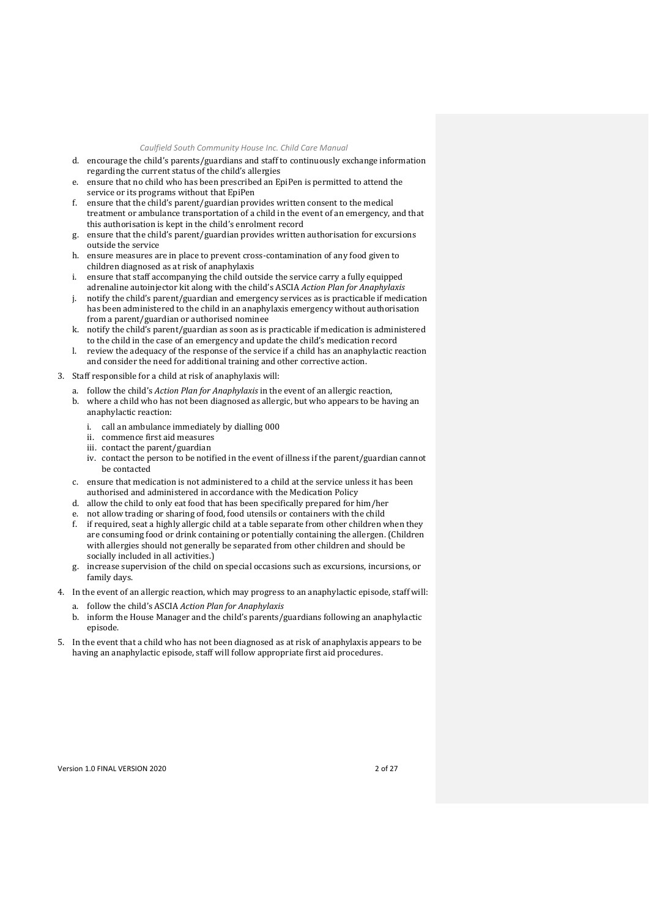- d. encourage the child's parents/guardians and staff to continuously exchange information regarding the current status of the child's allergies
- e. ensure that no child who has been prescribed an EpiPen is permitted to attend the service or its programs without that EpiPen
- f. ensure that the child's parent/guardian provides written consent to the medical treatment or ambulance transportation of a child in the event of an emergency, and that this authorisation is kept in the child's enrolment record
- g. ensure that the child's parent/guardian provides written authorisation for excursions outside the service
- h. ensure measures are in place to prevent cross-contamination of any food given to children diagnosed as at risk of anaphylaxis
- i. ensure that staff accompanying the child outside the service carry a fully equipped adrenaline autoinjector kit along with the child's ASCIA *Action Plan for Anaphylaxis*
- j. notify the child's parent/guardian and emergency services as is practicable if medication has been administered to the child in an anaphylaxis emergency without authorisation from a parent/guardian or authorised nominee
- k. notify the child's parent/guardian as soon as is practicable if medication is administered to the child in the case of an emergency and update the child's medication record
- l. review the adequacy of the response of the service if a child has an anaphylactic reaction and consider the need for additional training and other corrective action.
- 3. Staff responsible for a child at risk of anaphylaxis will:
	- a. follow the child's *Action Plan for Anaphylaxis* in the event of an allergic reaction,
	- b. where a child who has not been diagnosed as allergic, but who appears to be having an anaphylactic reaction:
		- i. call an ambulance immediately by dialling 000
		- ii. commence first aid measures
		- iii. contact the parent/guardian
		- iv. contact the person to be notified in the event of illness if the parent/guardian cannot be contacted
	- c. ensure that medication is not administered to a child at the service unless it has been authorised and administered in accordance with the Medication Policy
	- d. allow the child to only eat food that has been specifically prepared for him/her
	- not allow trading or sharing of food, food utensils or containers with the child
	- f. if required, seat a highly allergic child at a table separate from other children when they are consuming food or drink containing or potentially containing the allergen. (Children with allergies should not generally be separated from other children and should be socially included in all activities.)
	- g. increase supervision of the child on special occasions such as excursions, incursions, or family days.
- 4. In the event of an allergic reaction, which may progress to an anaphylactic episode, staff will:
	- a. follow the child's ASCIA *Action Plan for Anaphylaxis*
	- b. inform the House Manager and the child's parents/guardians following an anaphylactic episode.
- 5. In the event that a child who has not been diagnosed as at risk of anaphylaxis appears to be having an anaphylactic episode, staff will follow appropriate first aid procedures.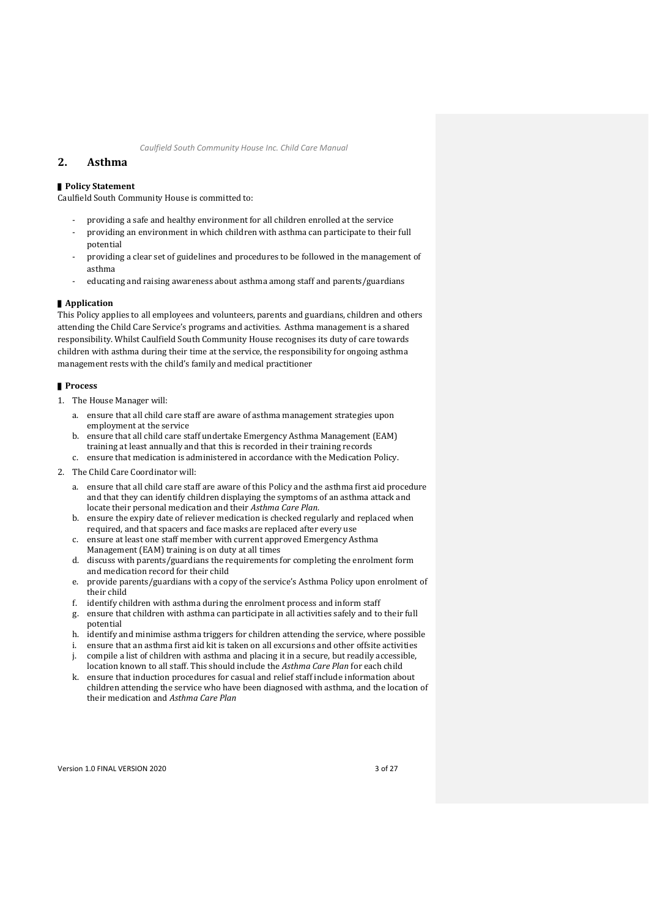## <span id="page-6-0"></span>**2. Asthma**

#### ■ **Policy Statement**

Caulfield South Community House is committed to:

- providing a safe and healthy environment for all children enrolled at the service
- providing an environment in which children with asthma can participate to their full potential
- providing a clear set of guidelines and procedures to be followed in the management of asthma
- educating and raising awareness about asthma among staff and parents/guardians

#### ▌**Application**

This Policy applies to all employees and volunteers, parents and guardians, children and others attending the Child Care Service's programs and activities. Asthma management is a shared responsibility. Whilst Caulfield South Community House recognises its duty of care towards children with asthma during their time at the service, the responsibility for ongoing asthma management rests with the child's family and medical practitioner

- 1. The House Manager will:
	- a. ensure that all child care staff are aware of asthma management strategies upon employment at the service
	- b. ensure that all child care staff undertake Emergency Asthma Management (EAM) training at least annually and that this is recorded in their training records c. ensure that medication is administered in accordance with the Medication Policy.
- 2. The Child Care Coordinator will:
	- a. ensure that all child care staff are aware of this Policy and the asthma first aid procedure and that they can identify children displaying the symptoms of an asthma attack and locate their personal medication and their *Asthma Care Plan*.
	- b. ensure the expiry date of reliever medication is checked regularly and replaced when required, and that spacers and face masks are replaced after every use
	- c. ensure at least one staff member with current approved Emergency Asthma Management (EAM) training is on duty at all times
	- d. discuss with parents/guardians the requirements for completing the enrolment form and medication record for their child
	- e. provide parents/guardians with a copy of the service's Asthma Policy upon enrolment of their child
	- f. identify children with asthma during the enrolment process and inform staff
	- g. ensure that children with asthma can participate in all activities safely and to their full potential
	- h. identify and minimise asthma triggers for children attending the service, where possible
	- i. ensure that an asthma first aid kit is taken on all excursions and other offsite activities j. compile a list of children with asthma and placing it in a secure, but readily accessible,
	- location known to all staff. This should include the *Asthma Care Plan* for each child k. ensure that induction procedures for casual and relief staff include information about
	- children attending the service who have been diagnosed with asthma, and the location of their medication and *Asthma Care Plan*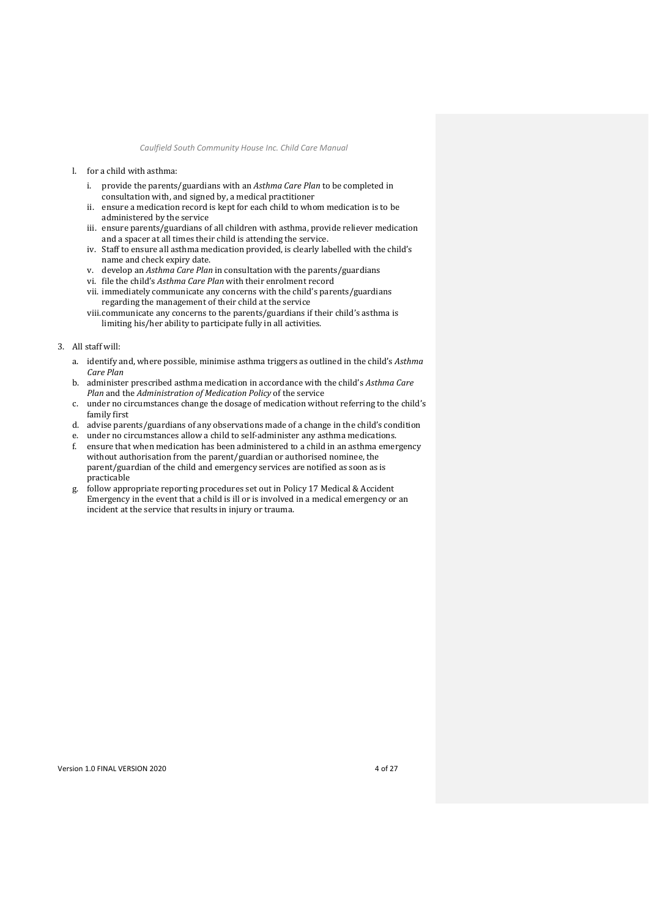- l. for a child with asthma:
	- i. provide the parents/guardians with an *Asthma Care Plan* to be completed in consultation with, and signed by, a medical practitioner
	- ii. ensure a medication record is kept for each child to whom medication is to be administered by the service
	- iii. ensure parents/guardians of all children with asthma, provide reliever medication and a spacer at all times their child is attending the service.
	- iv. Staff to ensure all asthma medication provided, is clearly labelled with the child's name and check expiry date.
	- v. develop an *Asthma Care Plan* in consultation with the parents/guardians
	- vi. file the child's *Asthma Care Plan* with their enrolment record
	- vii. immediately communicate any concerns with the child's parents/guardians regarding the management of their child at the service
	- viii.communicate any concerns to the parents/guardians if their child's asthma is limiting his/her ability to participate fully in all activities.

#### 3. All staff will:

- a. identify and, where possible, minimise asthma triggers as outlined in the child's *Asthma Care Plan*
- b. administer prescribed asthma medication in accordance with the child's *Asthma Care Plan* and the *Administration of Medication Policy* of the service
- c. under no circumstances change the dosage of medication without referring to the child's family first
- d. advise parents/guardians of any observations made of a change in the child's condition
- e. under no circumstances allow a child to self-administer any asthma medications.
- f. ensure that when medication has been administered to a child in an asthma emergency without authorisation from the parent/guardian or authorised nominee, the parent/guardian of the child and emergency services are notified as soon as is practicable
- g. follow appropriate reporting procedures set out in Policy [17](#page-25-0) [Medical & Accident](#page-25-0)  [Emergency](#page-25-0) in the event that a child is ill or is involved in a medical emergency or an incident at the service that results in injury or trauma.

Version 1.0 FINAL VERSION 2020 4 of 27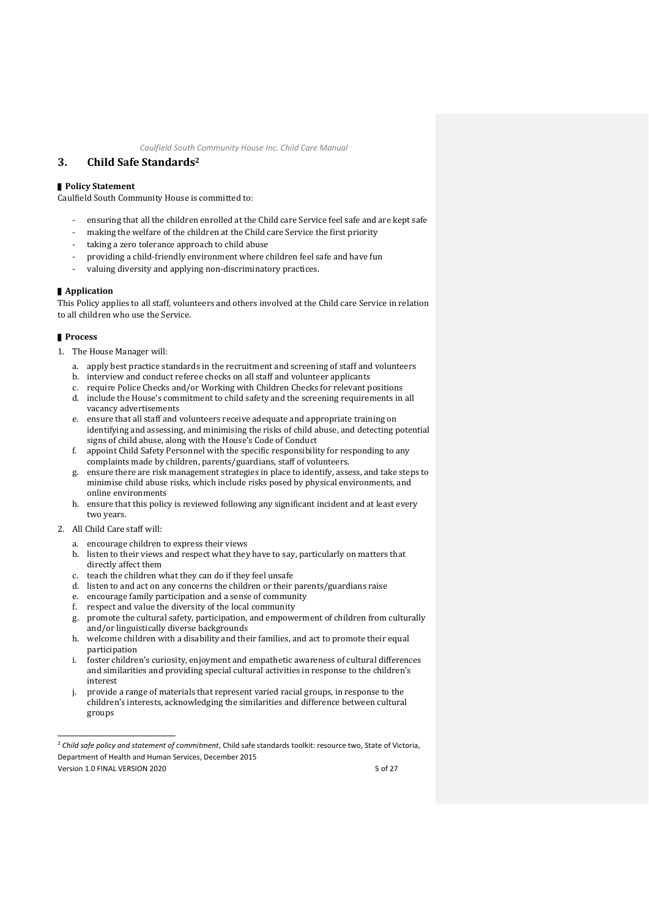## <span id="page-8-0"></span>**3. Child Safe Standards<sup>2</sup>**

#### ■ **Policy Statement**

Caulfield South Community House is committed to:

- ensuring that all the children enrolled at the Child care Service feel safe and are kept safe
- making the welfare of the children at the Child care Service the first priority
- taking a zero tolerance approach to child abuse
- providing a child-friendly environment where children feel safe and have fun
- valuing diversity and applying non-discriminatory practices.

#### ▌**Application**

This Policy applies to all staff, volunteers and others involved at the Child care Service in relation to all children who use the Service.

- 1. The House Manager will:
	- a. apply best practice standards in the recruitment and screening of staff and volunteers
	- b. interview and conduct referee checks on all staff and volunteer applicants
	- c. require Police Checks and/or Working with Children Checks for relevant positions
	- d. include the House's commitment to child safety and the screening requirements in all vacancy advertisements
	- e. ensure that all staff and volunteers receive adequate and appropriate training on identifying and assessing, and minimising the risks of child abuse, and detecting potential signs of child abuse, along with the House's Code of Conduct
	- f. appoint Child Safety Personnel with the specific responsibility for responding to any complaints made by children, parents/guardians, staff of volunteers.
	- g. ensure there are risk management strategies in place to identify, assess, and take steps to minimise child abuse risks, which include risks posed by physical environments, and online environments
	- h. ensure that this policy is reviewed following any significant incident and at least every two years.
- 2. All Child Care staff will:
	- a. encourage children to express their views
	- b. listen to their views and respect what they have to say, particularly on matters that directly affect them
	- c. teach the children what they can do if they feel unsafe
	- d. listen to and act on any concerns the children or their parents/guardians raise
	- e. encourage family participation and a sense of community
	- f. respect and value the diversity of the local community
	- g. promote the cultural safety, participation, and empowerment of children from culturally and/or linguistically diverse backgrounds
	- h. welcome children with a disability and their families, and act to promote their equal participation
	- i. foster children's curiosity, enjoyment and empathetic awareness of cultural differences and similarities and providing special cultural activities in response to the children's interest
	- provide a range of materials that represent varied racial groups, in response to the children's interests, acknowledging the similarities and difference between cultural groups

<sup>&</sup>lt;sup>2</sup> Child safe policy and statement of commitment, Child safe standards toolkit: resource two, State of Victoria, Department of Health and Human Services, December 2015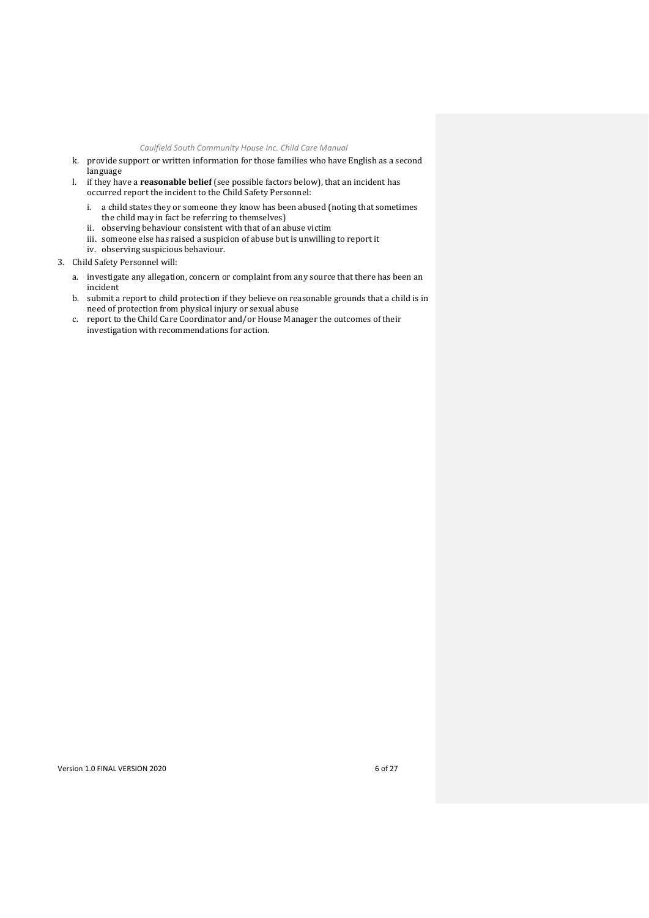- k. provide support or written information for those families who have English as a second language
- l. if they have a **reasonable belief** (see possible factors below), that an incident has occurred report the incident to the Child Safety Personnel:
	- i. a child states they or someone they know has been abused (noting that sometimes the child may in fact be referring to themselves)
	- ii. observing behaviour consistent with that of an abuse victim
	- iii. someone else has raised a suspicion of abuse but is unwilling to report it
	- iv. observing suspicious behaviour.
- 3. Child Safety Personnel will:
	- a. investigate any allegation, concern or complaint from any source that there has been an incident
	- b. submit a report to child protection if they believe on reasonable grounds that a child is in need of protection from physical injury or sexual abuse
	- c. report to the Child Care Coordinator and/or House Manager the outcomes of their investigation with recommendations for action.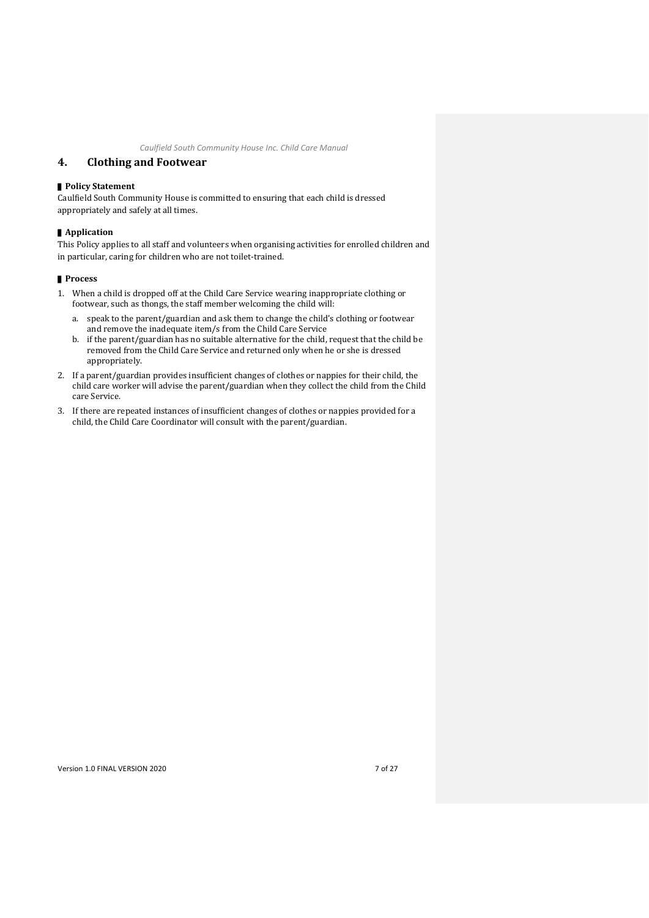## <span id="page-10-0"></span>**4. Clothing and Footwear**

#### ▌**Policy Statement**

Caulfield South Community House is committed to ensuring that each child is dressed appropriately and safely at all times.

#### ▌**Application**

This Policy applies to all staff and volunteers when organising activities for enrolled children and in particular, caring for children who are not toilet-trained.

#### ▌**Process**

- 1. When a child is dropped off at the Child Care Service wearing inappropriate clothing or footwear, such as thongs, the staff member welcoming the child will:
	- a. speak to the parent/guardian and ask them to change the child's clothing or footwear and remove the inadequate item/s from the Child Care Service
	- b. if the parent/guardian has no suitable alternative for the child, request that the child be removed from the Child Care Service and returned only when he or she is dressed appropriately.
- 2. If a parent/guardian provides insufficient changes of clothes or nappies for their child, the child care worker will advise the parent/guardian when they collect the child from the Child care Service.
- 3. If there are repeated instances of insufficient changes of clothes or nappies provided for a child, the Child Care Coordinator will consult with the parent/guardian.

Version 1.0 FINAL VERSION 2020 7 of 27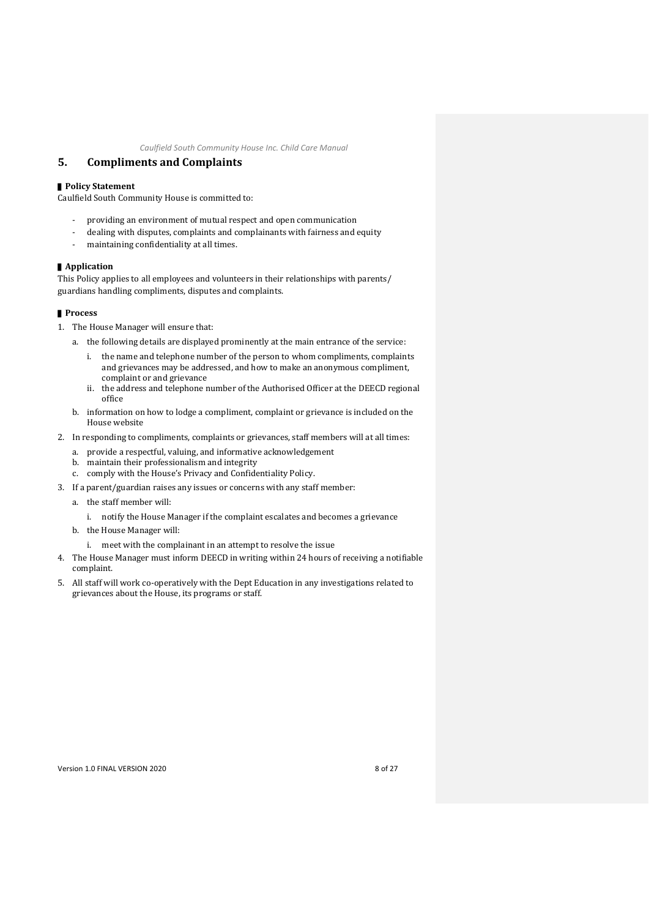## <span id="page-11-0"></span>**5. Compliments and Complaints**

#### ■ **Policy Statement**

Caulfield South Community House is committed to:

- providing an environment of mutual respect and open communication
- dealing with disputes, complaints and complainants with fairness and equity
- maintaining confidentiality at all times.

#### ▌**Application**

This Policy applies to all employees and volunteers in their relationships with parents/ guardians handling compliments, disputes and complaints.

- 1. The House Manager will ensure that:
	- a. the following details are displayed prominently at the main entrance of the service:
		- i. the name and telephone number of the person to whom compliments, complaints and grievances may be addressed, and how to make an anonymous compliment, complaint or and grievance
		- ii. the address and telephone number of the Authorised Officer at the DEECD regional office
	- b. information on how to lodge a compliment, complaint or grievance is included on the House website
- 2. In responding to compliments, complaints or grievances, staff members will at all times:
	- a. provide a respectful, valuing, and informative acknowledgement
	- b. maintain their professionalism and integrity
	- c. comply with the House's Privacy and Confidentiality Policy.
- 3. If a parent/guardian raises any issues or concerns with any staff member:
	- a. the staff member will:
		- i. notify the House Manager if the complaint escalates and becomes a grievance
	- b. the House Manager will:
		- i. meet with the complainant in an attempt to resolve the issue
- 4. The House Manager must inform DEECD in writing within 24 hours of receiving a notifiable complaint.
- 5. All staff will work co-operatively with the Dept Education in any investigations related to grievances about the House, its programs or staff.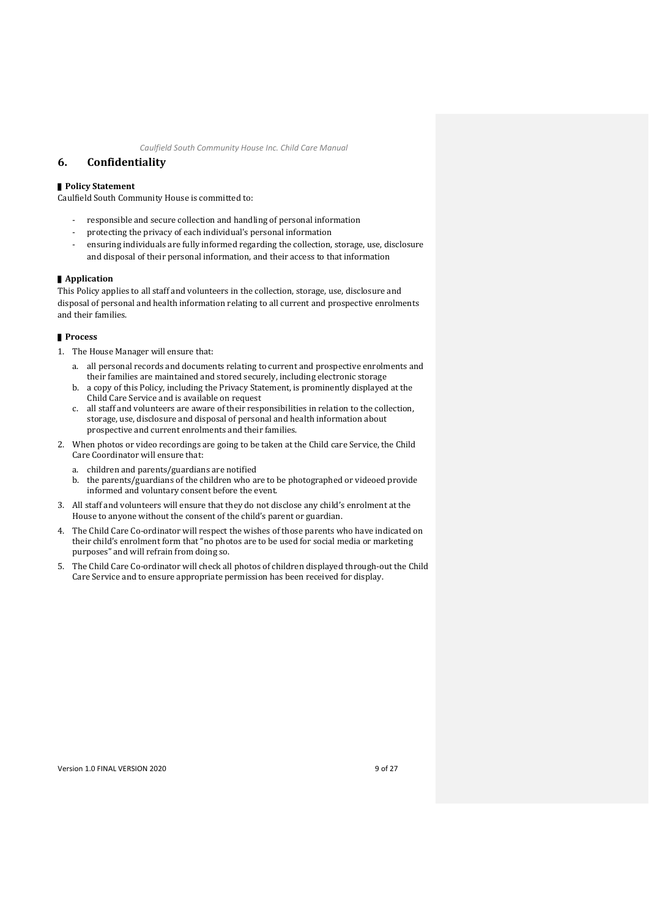## <span id="page-12-0"></span>**6. Confidentiality**

#### ■ **Policy Statement**

Caulfield South Community House is committed to:

- responsible and secure collection and handling of personal information
- protecting the privacy of each individual's personal information
- ensuring individuals are fully informed regarding the collection, storage, use, disclosure and disposal of their personal information, and their access to that information

#### ▌**Application**

This Policy applies to all staff and volunteers in the collection, storage, use, disclosure and disposal of personal and health information relating to all current and prospective enrolments and their families.

#### ▌**Process**

- 1. The House Manager will ensure that:
	- a. all personal records and documents relating to current and prospective enrolments and their families are maintained and stored securely, including electronic storage
	- b. a copy of this Policy, including the Privacy Statement, is prominently displayed at the Child Care Service and is available on request
	- c. all staff and volunteers are aware of their responsibilities in relation to the collection, storage, use, disclosure and disposal of personal and health information about prospective and current enrolments and their families.
- 2. When photos or video recordings are going to be taken at the Child care Service, the Child Care Coordinator will ensure that:
	- a. children and parents/guardians are notified
	- b. the parents/guardians of the children who are to be photographed or videoed provide informed and voluntary consent before the event.
- 3. All staff and volunteers will ensure that they do not disclose any child's enrolment at the House to anyone without the consent of the child's parent or guardian.
- 4. The Child Care Co-ordinator will respect the wishes of those parents who have indicated on their child's enrolment form that "no photos are to be used for social media or marketing purposes" and will refrain from doing so.
- 5. The Child Care Co-ordinator will check all photos of children displayed through-out the Child Care Service and to ensure appropriate permission has been received for display.

Version 1.0 FINAL VERSION 2020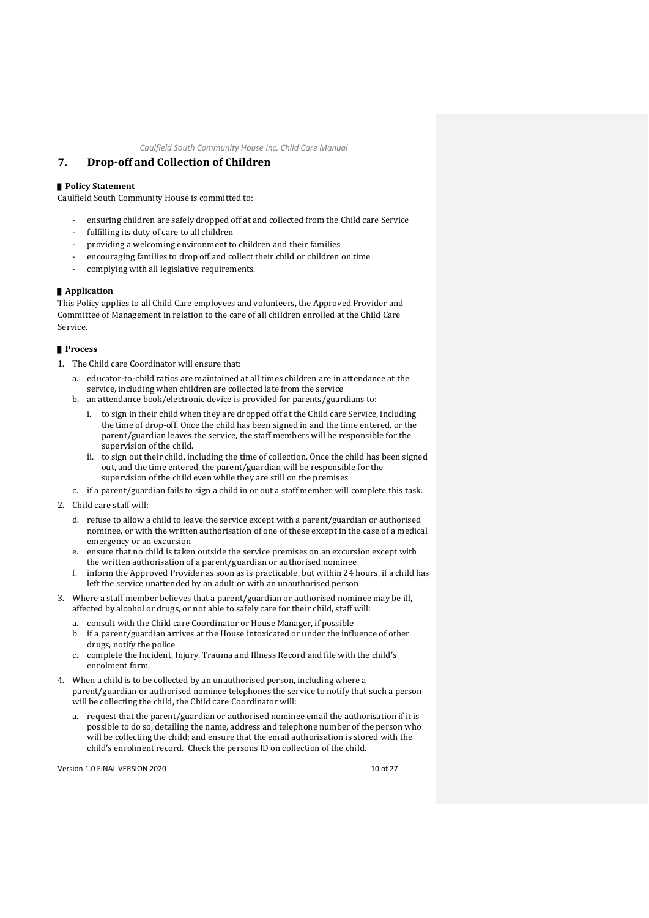# <span id="page-13-0"></span>**7. Drop-off and Collection of Children**

## ■ **Policy Statement**

Caulfield South Community House is committed to:

- ensuring children are safely dropped off at and collected from the Child care Service
- fulfilling its duty of care to all children
- providing a welcoming environment to children and their families
- encouraging families to drop off and collect their child or children on time
- complying with all legislative requirements.

## ▌**Application**

This Policy applies to all Child Care employees and volunteers, the Approved Provider and Committee of Management in relation to the care of all children enrolled at the Child Care Service.

#### ▌**Process**

- 1. The Child care Coordinator will ensure that:
	- a. educator-to-child ratios are maintained at all times children are in attendance at the service, including when children are collected late from the service
	- b. an attendance book/electronic device is provided for parents/guardians to:
		- i. to sign in their child when they are dropped off at the Child care Service, including the time of drop-off. Once the child has been signed in and the time entered, or the parent/guardian leaves the service, the staff members will be responsible for the supervision of the child.
		- ii. to sign out their child, including the time of collection. Once the child has been signed out, and the time entered, the parent/guardian will be responsible for the supervision of the child even while they are still on the premises
	- c. if a parent/guardian fails to sign a child in or out a staff member will complete this task.
- 2. Child care staff will:
	- d. refuse to allow a child to leave the service except with a parent/guardian or authorised nominee, or with the written authorisation of one of these except in the case of a medical emergency or an excursion
	- e. ensure that no child is taken outside the service premises on an excursion except with the written authorisation of a parent/guardian or authorised nominee
	- f. inform the Approved Provider as soon as is practicable, but within 24 hours, if a child has left the service unattended by an adult or with an unauthorised person
- 3. Where a staff member believes that a parent/guardian or authorised nominee may be ill, affected by alcohol or drugs, or not able to safely care for their child, staff will:
	- a. consult with the Child care Coordinator or House Manager, if possible
	- b. if a parent/guardian arrives at the House intoxicated or under the influence of other drugs, notify the police
	- c. complete the Incident, Injury, Trauma and Illness Record and file with the child's enrolment form.
- 4. When a child is to be collected by an unauthorised person, including where a parent/guardian or authorised nominee telephones the service to notify that such a person will be collecting the child, the Child care Coordinator will:
	- a. request that the parent/guardian or authorised nominee email the authorisation if it is possible to do so, detailing the name, address and telephone number of the person who will be collecting the child; and ensure that the email authorisation is stored with the child's enrolment record. Check the persons ID on collection of the child.

Version 1.0 FINAL VERSION 2020 10 of 27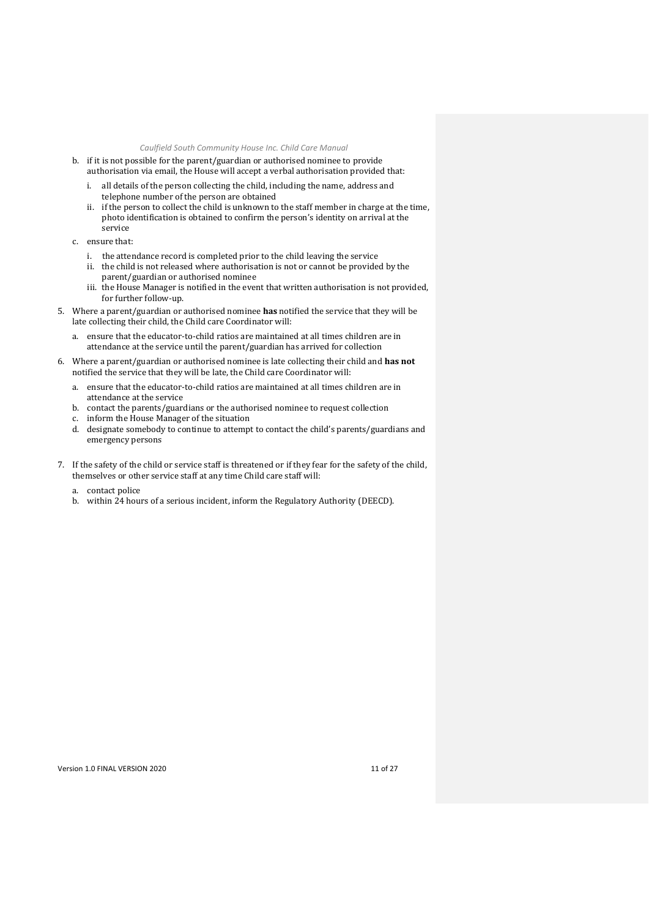- b. if it is not possible for the parent/guardian or authorised nominee to provide authorisation via email, the House will accept a verbal authorisation provided that:
	- i. all details of the person collecting the child, including the name, address and telephone number of the person are obtained
	- ii. if the person to collect the child is unknown to the staff member in charge at the time, photo identification is obtained to confirm the person's identity on arrival at the service
- c. ensure that:
	- i. the attendance record is completed prior to the child leaving the service
	- ii. the child is not released where authorisation is not or cannot be provided by the parent/guardian or authorised nominee
	- iii. the House Manager is notified in the event that written authorisation is not provided, for further follow-up.
- 5. Where a parent/guardian or authorised nominee **has** notified the service that they will be late collecting their child, the Child care Coordinator will:
	- a. ensure that the educator-to-child ratios are maintained at all times children are in attendance at the service until the parent/guardian has arrived for collection
- 6. Where a parent/guardian or authorised nominee is late collecting their child and **has not** notified the service that they will be late, the Child care Coordinator will:
	- a. ensure that the educator-to-child ratios are maintained at all times children are in attendance at the service
	- b. contact the parents/guardians or the authorised nominee to request collection
	- c. inform the House Manager of the situation
	- d. designate somebody to continue to attempt to contact the child's parents/guardians and emergency persons
- 7. If the safety of the child or service staff is threatened or if they fear for the safety of the child, themselves or other service staff at any time Child care staff will:
	- a. contact police
	- b. within 24 hours of a serious incident, inform the Regulatory Authority (DEECD).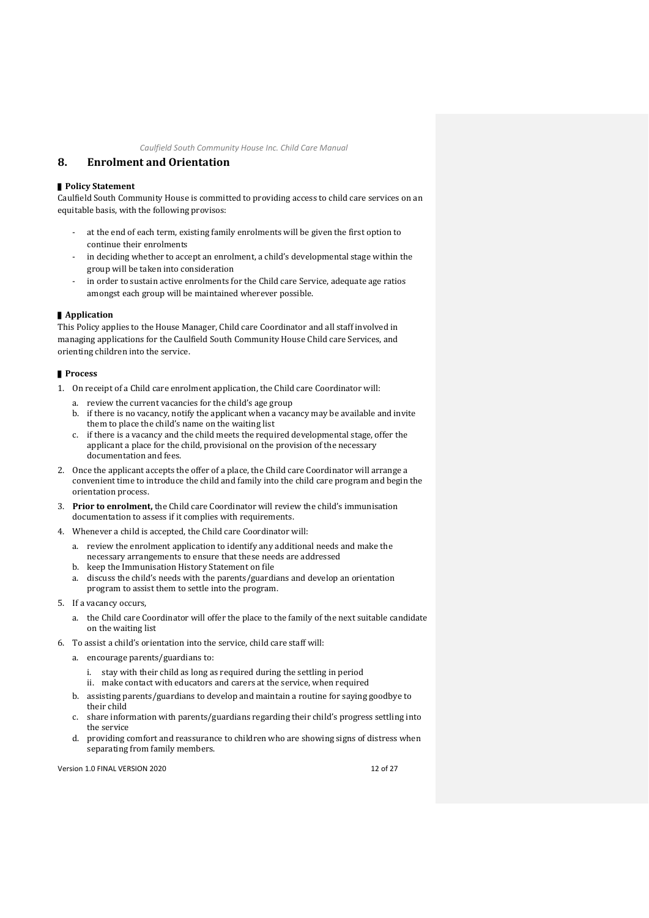## <span id="page-15-0"></span>**8. Enrolment and Orientation**

#### ■ **Policy Statement**

Caulfield South Community House is committed to providing access to child care services on an equitable basis, with the following provisos:

- at the end of each term, existing family enrolments will be given the first option to continue their enrolments
- in deciding whether to accept an enrolment, a child's developmental stage within the group will be taken into consideration
- in order to sustain active enrolments for the Child care Service, adequate age ratios amongst each group will be maintained wherever possible.

#### ▌**Application**

This Policy applies to the House Manager, Child care Coordinator and all staff involved in managing applications for the Caulfield South Community House Child care Services, and orienting children into the service.

#### ▌**Process**

- 1. On receipt of a Child care enrolment application, the Child care Coordinator will:
	- a. review the current vacancies for the child's age group
	- b. if there is no vacancy, notify the applicant when a vacancy may be available and invite them to place the child's name on the waiting list
	- c. if there is a vacancy and the child meets the required developmental stage, offer the applicant a place for the child, provisional on the provision of the necessary documentation and fees.
- 2. Once the applicant accepts the offer of a place, the Child care Coordinator will arrange a convenient time to introduce the child and family into the child care program and begin the orientation process.
- 3. **Prior to enrolment,** the Child care Coordinator will review the child's immunisation documentation to assess if it complies with requirements.
- 4. Whenever a child is accepted, the Child care Coordinator will:
	- a. review the enrolment application to identify any additional needs and make the necessary arrangements to ensure that these needs are addressed
	- b. keep the Immunisation History Statement on file
	- a. discuss the child's needs with the parents/guardians and develop an orientation program to assist them to settle into the program.
- 5. If a vacancy occurs,
	- a. the Child care Coordinator will offer the place to the family of the next suitable candidate on the waiting list
- 6. To assist a child's orientation into the service, child care staff will:
	- a. encourage parents/guardians to:
		- i. stay with their child as long as required during the settling in period
		- ii. make contact with educators and carers at the service, when required
	- b. assisting parents/guardians to develop and maintain a routine for saying goodbye to their child
	- c. share information with parents/guardians regarding their child's progress settling into the service
	- d. providing comfort and reassurance to children who are showing signs of distress when separating from family members.

Version 1.0 FINAL VERSION 2020 12 OF 27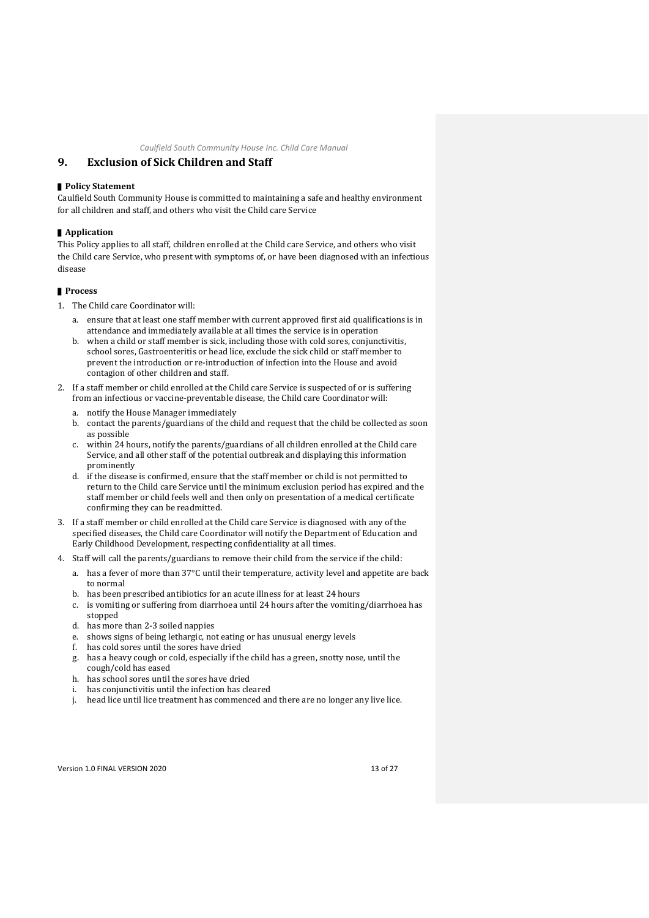## <span id="page-16-0"></span>**9. Exclusion of Sick Children and Staff**

#### ■ **Policy Statement**

Caulfield South Community House is committed to maintaining a safe and healthy environment for all children and staff, and others who visit the Child care Service

#### ▌**Application**

This Policy applies to all staff, children enrolled at the Child care Service, and others who visit the Child care Service, who present with symptoms of, or have been diagnosed with an infectious disease

#### ▌**Process**

- 1. The Child care Coordinator will:
	- a. ensure that at least one staff member with current approved first aid qualifications is in attendance and immediately available at all times the service is in operation
	- b. when a child or staff member is sick, including those with cold sores, conjunctivitis, school sores, Gastroenteritis or head lice, exclude the sick child or staff member to prevent the introduction or re-introduction of infection into the House and avoid contagion of other children and staff.
- 2. If a staff member or child enrolled at the Child care Service is suspected of or is suffering from an infectious or vaccine-preventable disease, the Child care Coordinator will:
	- a. notify the House Manager immediately
	- b. contact the parents/guardians of the child and request that the child be collected as soon as possible
	- c. within 24 hours, notify the parents/guardians of all children enrolled at the Child care Service, and all other staff of the potential outbreak and displaying this information prominently
	- d. if the disease is confirmed, ensure that the staff member or child is not permitted to return to the Child care Service until the minimum exclusion period has expired and the staff member or child feels well and then only on presentation of a medical certificate confirming they can be readmitted.
- 3. If a staff member or child enrolled at the Child care Service is diagnosed with any of the specified diseases, the Child care Coordinator will notify the Department of Education and Early Childhood Development, respecting confidentiality at all times.
- 4. Staff will call the parents/guardians to remove their child from the service if the child:
	- a. has a fever of more than 37°C until their temperature, activity level and appetite are back to normal
	- b. has been prescribed antibiotics for an acute illness for at least 24 hours
	- is vomiting or suffering from diarrhoea until 24 hours after the vomiting/diarrhoea has stopped
	- d. has more than 2-3 soiled nappies
	- e. shows signs of being lethargic, not eating or has unusual energy levels
	- f. has cold sores until the sores have dried
	- g. has a heavy cough or cold, especially if the child has a green, snotty nose, until the cough/cold has eased
	- h. has school sores until the sores have dried
	- i. has conjunctivitis until the infection has cleared
	- j. head lice until lice treatment has commenced and there are no longer any live lice.

Version 1.0 FINAL VERSION 2020 13 of 27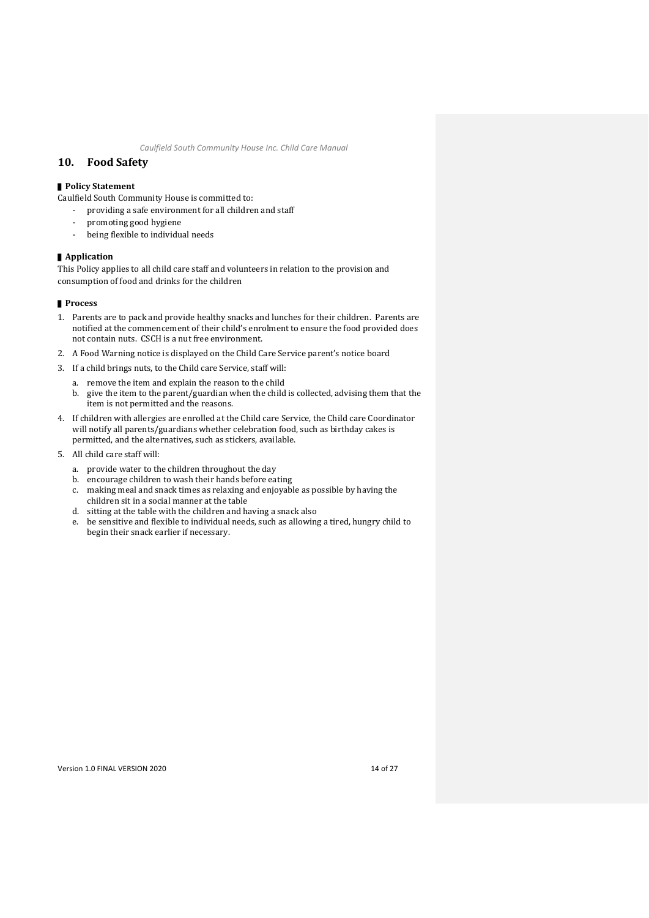## <span id="page-17-0"></span>**10. Food Safety**

# ▌**Policy Statement**

Caulfield South Community House is committed to:

- providing a safe environment for all children and staff
- promoting good hygiene
- being flexible to individual needs

#### ▌**Application**

This Policy applies to all child care staff and volunteers in relation to the provision and consumption of food and drinks for the children

- 1. Parents are to pack and provide healthy snacks and lunches for their children. Parents are notified at the commencement of their child's enrolment to ensure the food provided does not contain nuts. CSCH is a nut free environment.
- 2. A Food Warning notice is displayed on the Child Care Service parent's notice board
- 3. If a child brings nuts, to the Child care Service, staff will:
	- a. remove the item and explain the reason to the child
	- b. give the item to the parent/guardian when the child is collected, advising them that the item is not permitted and the reasons.
- 4. If children with allergies are enrolled at the Child care Service, the Child care Coordinator will notify all parents/guardians whether celebration food, such as birthday cakes is permitted, and the alternatives, such as stickers, available.
- 5. All child care staff will:
	- a. provide water to the children throughout the day
	- b. encourage children to wash their hands before eating
	- c. making meal and snack times as relaxing and enjoyable as possible by having the children sit in a social manner at the table
	- d. sitting at the table with the children and having a snack also
	- e. be sensitive and flexible to individual needs, such as allowing a tired, hungry child to begin their snack earlier if necessary.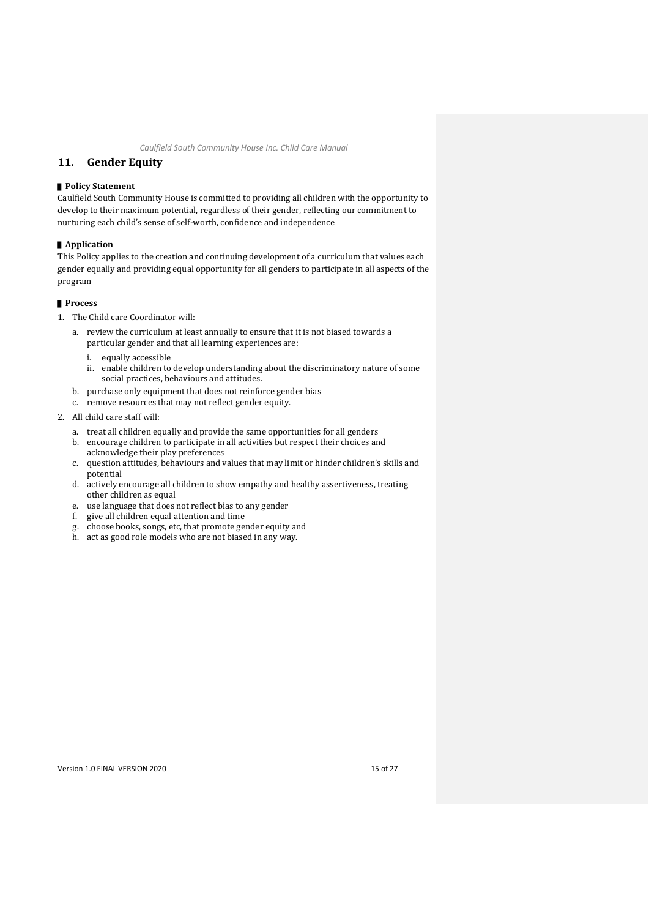## <span id="page-18-0"></span>**11. Gender Equity**

#### ▌**Policy Statement**

Caulfield South Community House is committed to providing all children with the opportunity to develop to their maximum potential, regardless of their gender, reflecting our commitment to nurturing each child's sense of self-worth, confidence and independence

#### ▌**Application**

This Policy applies to the creation and continuing development of a curriculum that values each gender equally and providing equal opportunity for all genders to participate in all aspects of the program

- 1. The Child care Coordinator will:
	- a. review the curriculum at least annually to ensure that it is not biased towards a particular gender and that all learning experiences are:
		- i. equally accessible
		- ii. enable children to develop understanding about the discriminatory nature of some social practices, behaviours and attitudes.
	- b. purchase only equipment that does not reinforce gender bias
	- c. remove resources that may not reflect gender equity.
- 2. All child care staff will:
	- a. treat all children equally and provide the same opportunities for all genders
	- b. encourage children to participate in all activities but respect their choices and acknowledge their play preferences
	- c. question attitudes, behaviours and values that may limit or hinder children's skills and potential
	- d. actively encourage all children to show empathy and healthy assertiveness, treating other children as equal
	- e. use language that does not reflect bias to any gender
	- f. give all children equal attention and time
	- g. choose books, songs, etc, that promote gender equity and
	- h. act as good role models who are not biased in any way.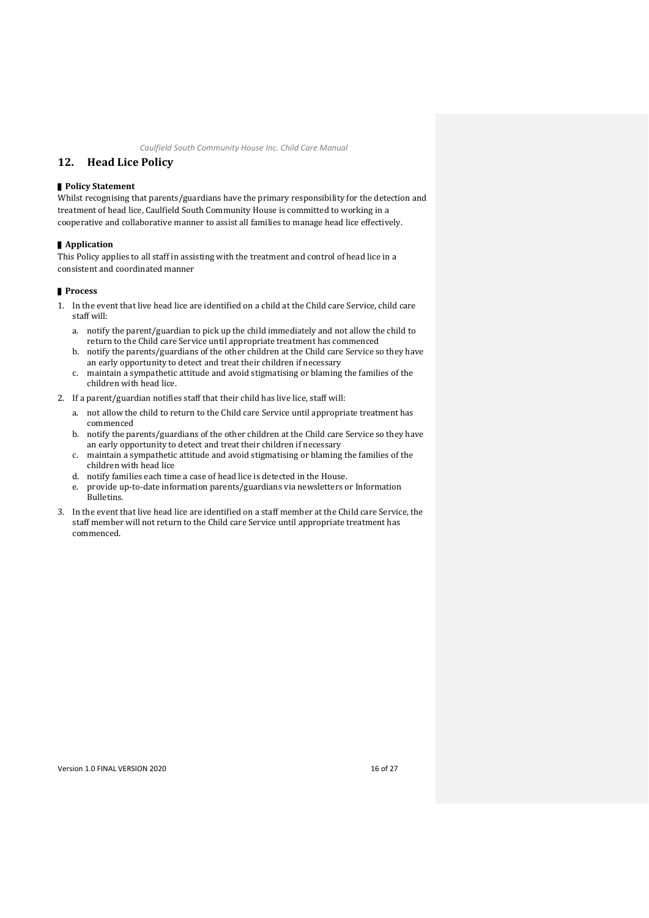## <span id="page-19-0"></span>**12. Head Lice Policy**

#### ■ **Policy Statement**

Whilst recognising that parents/guardians have the primary responsibility for the detection and treatment of head lice, Caulfield South Community House is committed to working in a cooperative and collaborative manner to assist all families to manage head lice effectively.

#### ▌**Application**

This Policy applies to all staff in assisting with the treatment and control of head lice in a consistent and coordinated manner

- 1. In the event that live head lice are identified on a child at the Child care Service, child care staff will:
	- a. notify the parent/guardian to pick up the child immediately and not allow the child to return to the Child care Service until appropriate treatment has commenced
	- b. notify the parents/guardians of the other children at the Child care Service so they have an early opportunity to detect and treat their children if necessary
	- c. maintain a sympathetic attitude and avoid stigmatising or blaming the families of the children with head lice.
- 2. If a parent/guardian notifies staff that their child has live lice, staff will:
	- a. not allow the child to return to the Child care Service until appropriate treatment has commenced
	- b. notify the parents/guardians of the other children at the Child care Service so they have an early opportunity to detect and treat their children if necessary
	- c. maintain a sympathetic attitude and avoid stigmatising or blaming the families of the children with head lice
	- d. notify families each time a case of head lice is detected in the House.
	- e. provide up-to-date information parents/guardians via newsletters or Information Bulletins.
- 3. In the event that live head lice are identified on a staff member at the Child care Service, the staff member will not return to the Child care Service until appropriate treatment has commenced.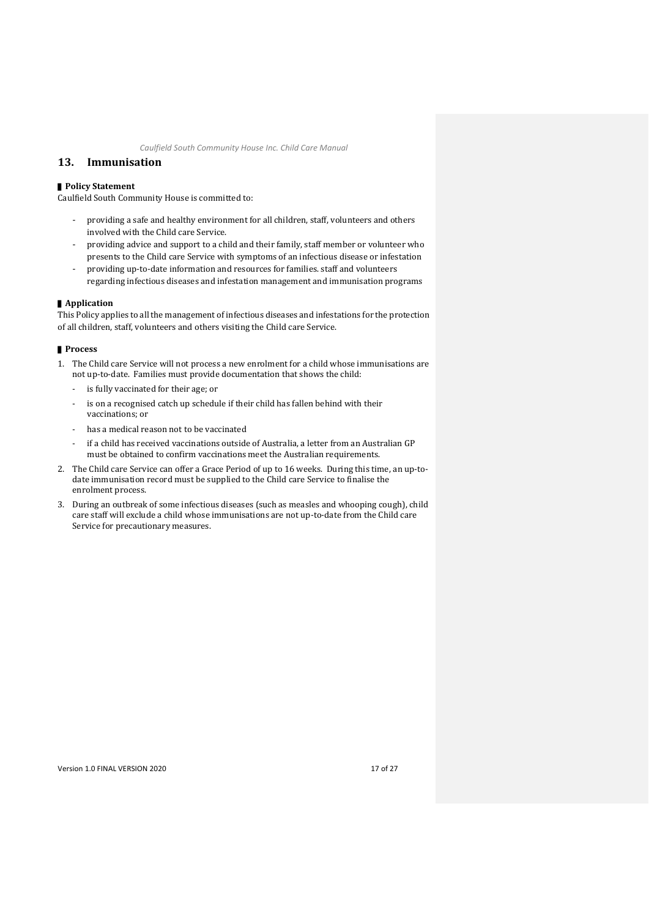## <span id="page-20-0"></span>**13. Immunisation**

#### ■ **Policy Statement**

Caulfield South Community House is committed to:

- providing a safe and healthy environment for all children, staff, volunteers and others involved with the Child care Service.
- providing advice and support to a child and their family, staff member or volunteer who presents to the Child care Service with symptoms of an infectious disease or infestation - providing up-to-date information and resources for families. staff and volunteers
- regarding infectious diseases and infestation management and immunisation programs

#### ▌**Application**

This Policy applies to all the management of infectious diseases and infestations for the protection of all children, staff, volunteers and others visiting the Child care Service.

#### ▌**Process**

- 1. The Child care Service will not process a new enrolment for a child whose immunisations are not up-to-date. Families must provide documentation that shows the child:
	- is fully vaccinated for their age; or
	- is on a recognised catch up schedule if their child has fallen behind with their vaccinations; or
	- has a medical reason not to be vaccinated
	- if a child has received vaccinations outside of Australia, a letter from an Australian GP must be obtained to confirm vaccinations meet the Australian requirements.
- 2. The Child care Service can offer a Grace Period of up to 16 weeks. During this time, an up-todate immunisation record must be supplied to the Child care Service to finalise the enrolment process.
- 3. During an outbreak of some infectious diseases (such as measles and whooping cough), child care staff will exclude a child whose immunisations are not up-to-date from the Child care Service for precautionary measures.

Version 1.0 FINAL VERSION 2020 17 of 27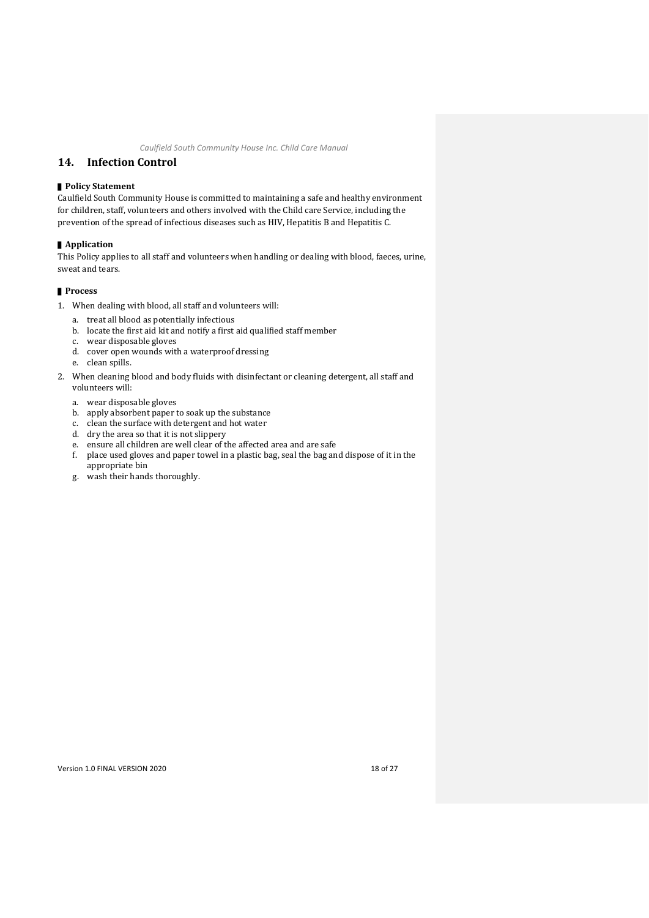## <span id="page-21-0"></span>**14. Infection Control**

#### ▌**Policy Statement**

Caulfield South Community House is committed to maintaining a safe and healthy environment for children, staff, volunteers and others involved with the Child care Service, including the prevention of the spread of infectious diseases such as HIV, Hepatitis B and Hepatitis C.

#### ▌**Application**

This Policy applies to all staff and volunteers when handling or dealing with blood, faeces, urine, sweat and tears.

- 1. When dealing with blood, all staff and volunteers will:
	- a. treat all blood as potentially infectious
	- b. locate the first aid kit and notify a first aid qualified staff member
	- c. wear disposable gloves
	- d. cover open wounds with a waterproof dressing
	- e. clean spills.
- 2. When cleaning blood and body fluids with disinfectant or cleaning detergent, all staff and volunteers will:
	- a. wear disposable gloves
	- b. apply absorbent paper to soak up the substance
	- c. clean the surface with detergent and hot water
	- d. dry the area so that it is not slippery
	- e. ensure all children are well clear of the affected area and are safe
	- f. place used gloves and paper towel in a plastic bag, seal the bag and dispose of it in the appropriate bin
	- g. wash their hands thoroughly.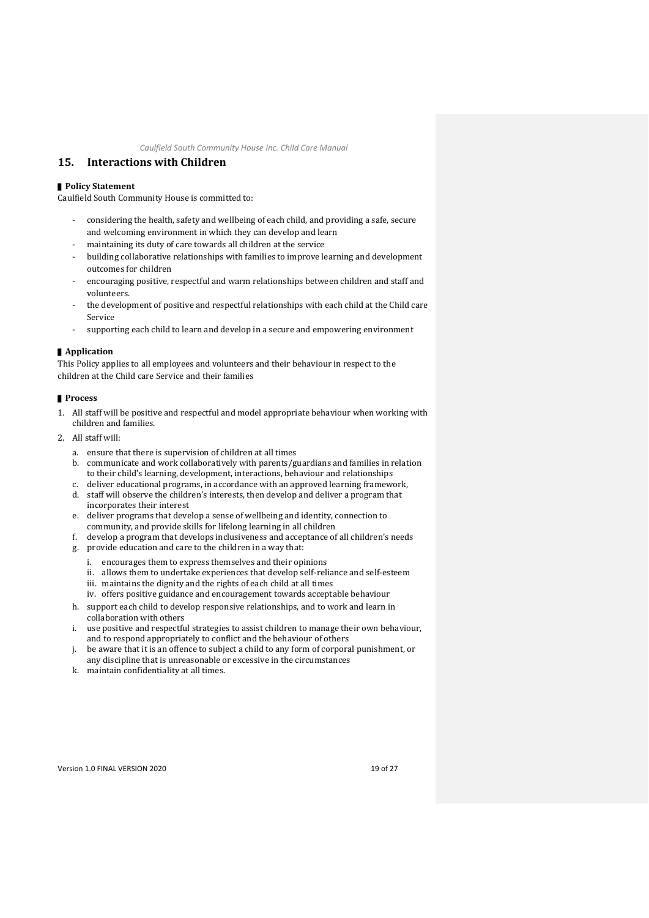## <span id="page-22-0"></span>**15. Interactions with Children**

## ■ **Policy Statement**

Caulfield South Community House is committed to:

- considering the health, safety and wellbeing of each child, and providing a safe, secure and welcoming environment in which they can develop and learn
- maintaining its duty of care towards all children at the service
- building collaborative relationships with families to improve learning and development outcomes for children
- encouraging positive, respectful and warm relationships between children and staff and volunteers.
- the development of positive and respectful relationships with each child at the Child care Service
- supporting each child to learn and develop in a secure and empowering environment

## ▌**Application**

This Policy applies to all employees and volunteers and their behaviour in respect to the children at the Child care Service and their families

- 1. All staff will be positive and respectful and model appropriate behaviour when working with children and families.
- 2. All staff will:
	- a. ensure that there is supervision of children at all times
	- b. communicate and work collaboratively with parents/guardians and families in relation to their child's learning, development, interactions, behaviour and relationships
	- c. deliver educational programs, in accordance with an approved learning framework, d. staff will observe the children's interests, then develop and deliver a program that
	- incorporates their interest
	- e. deliver programs that develop a sense of wellbeing and identity, connection to community, and provide skills for lifelong learning in all children
	- f. develop a program that develops inclusiveness and acceptance of all children's needs
	- g. provide education and care to the children in a way that:
		- i. encourages them to express themselves and their opinions
		- ii. allows them to undertake experiences that develop self-reliance and self-esteem
		- iii. maintains the dignity and the rights of each child at all times
		- iv. offers positive guidance and encouragement towards acceptable behaviour
	- h. support each child to develop responsive relationships, and to work and learn in collaboration with others
	- i. use positive and respectful strategies to assist children to manage their own behaviour, and to respond appropriately to conflict and the behaviour of others
	- j. be aware that it is an offence to subject a child to any form of corporal punishment, or any discipline that is unreasonable or excessive in the circumstances
	- k. maintain confidentiality at all times.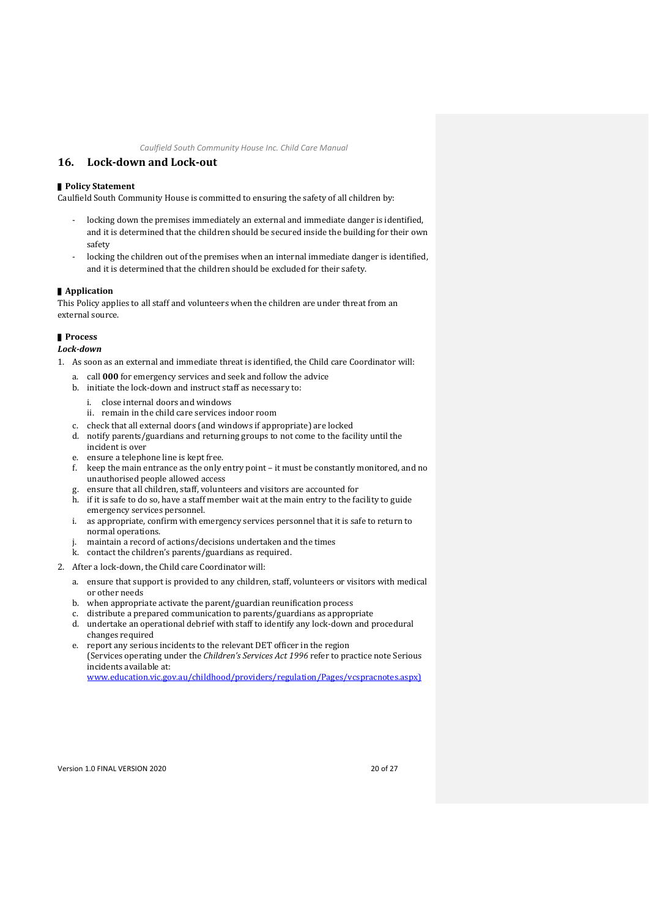## <span id="page-23-0"></span>**16. Lock-down and Lock-out**

#### ■ **Policy Statement**

Caulfield South Community House is committed to ensuring the safety of all children by:

- locking down the premises immediately an external and immediate danger is identified, and it is determined that the children should be secured inside the building for their own safety
- locking the children out of the premises when an internal immediate danger is identified, and it is determined that the children should be excluded for their safety.

#### ▌**Application**

This Policy applies to all staff and volunteers when the children are under threat from an external source.

#### ▌**Process**

*Lock-down*

- 1. As soon as an external and immediate threat is identified, the Child care Coordinator will:
	- a. call **000** for emergency services and seek and follow the advice
	- b. initiate the lock-down and instruct staff as necessary to:
		- i. close internal doors and windows
		- ii. remain in the child care services indoor room
	- c. check that all external doors (and windows if appropriate) are locked
	- d. notify parents/guardians and returning groups to not come to the facility until the incident is over
	- e. ensure a telephone line is kept free.
	- f. keep the main entrance as the only entry point it must be constantly monitored, and no unauthorised people allowed access
	- ensure that all children, staff, volunteers and visitors are accounted for
	- h. if it is safe to do so, have a staff member wait at the main entry to the facility to guide emergency services personnel.
	- i. as appropriate, confirm with emergency services personnel that it is safe to return to normal operations.
	- j. maintain a record of actions/decisions undertaken and the times
	- k. contact the children's parents/guardians as required.
- 2. After a lock-down, the Child care Coordinator will:
	- a. ensure that support is provided to any children, staff, volunteers or visitors with medical or other needs
	- b. when appropriate activate the parent/guardian reunification process
	- c. distribute a prepared communication to parents/guardians as appropriate
	- d. undertake an operational debrief with staff to identify any lock-down and procedural changes required
	- e. report any serious incidents to the relevant DET officer in the region (Services operating under the *Children's Services Act 1996* refer to practice note Serious incidents available at: [www.education.vic.gov.au/childhood/providers/regulation/Pages/vcspracnotes.aspx\)](http://www.education.vic.gov.au/childhood/providers/regulation/Pages/vcspracnotes.aspx)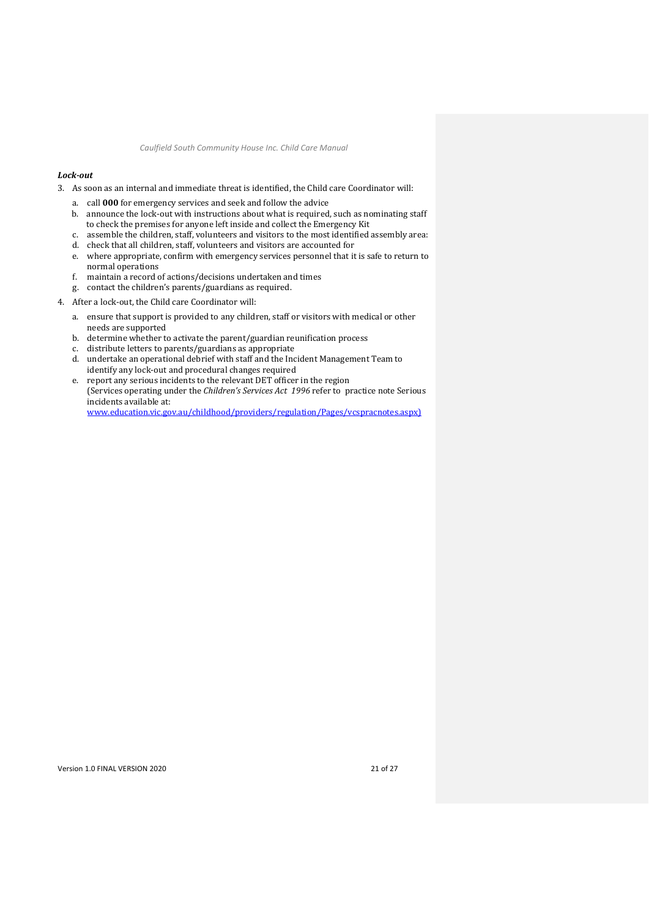#### *Lock-out*

3. As soon as an internal and immediate threat is identified, the Child care Coordinator will:

- a. call **000** for emergency services and seek and follow the advice
- b. announce the lock-out with instructions about what is required, such as nominating staff to check the premises for anyone left inside and collect the Emergency Kit
- c. assemble the children, staff, volunteers and visitors to the most identified assembly area:
- d. check that all children, staff, volunteers and visitors are accounted for
- e. where appropriate, confirm with emergency services personnel that it is safe to return to normal operations
- f. maintain a record of actions/decisions undertaken and times
- g. contact the children's parents/guardians as required.
- 4. After a lock-out, the Child care Coordinator will:
	- a. ensure that support is provided to any children, staff or visitors with medical or other needs are supported
	- b. determine whether to activate the parent/guardian reunification process
	- c. distribute letters to parents/guardians as appropriate
	- d. undertake an operational debrief with staff and the Incident Management Team to identify any lock-out and procedural changes required
	- e. report any serious incidents to the relevant DET officer in the region (Services operating under the *Children's Services Act 1996* refer to practice note Serious incidents available at: [www.education.vic.gov.au/childhood/providers/regulation/Pages/vcspracnotes.aspx\)](http://www.education.vic.gov.au/childhood/providers/regulation/Pages/vcspracnotes.aspx)

Version 1.0 FINAL VERSION 2020 21 of 27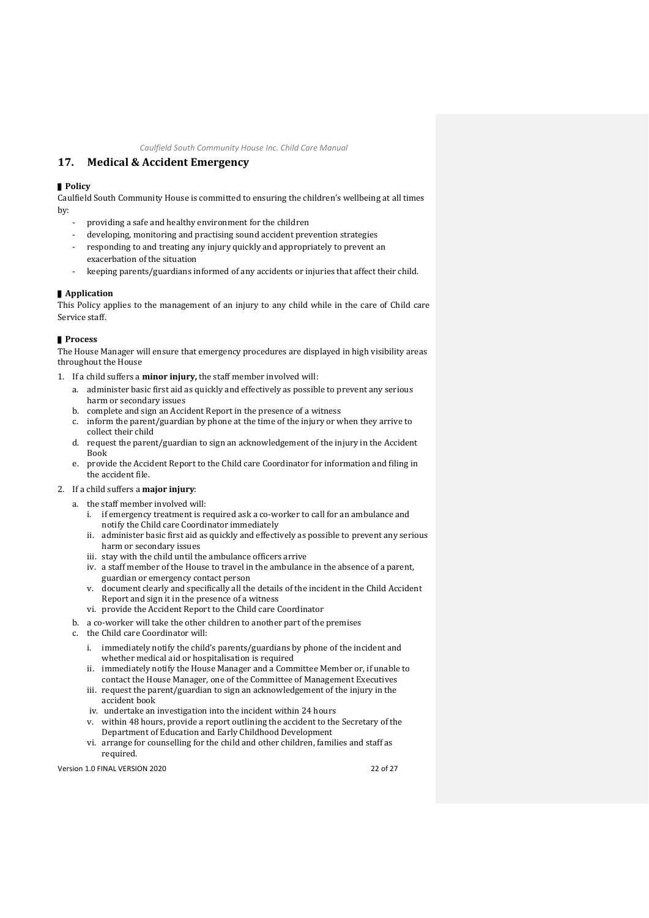# <span id="page-25-0"></span>**17. Medical & Accident Emergency**

## ▌**Policy**

Caulfield South Community House is committed to ensuring the children's wellbeing at all times by:

- providing a safe and healthy environment for the children
- developing, monitoring and practising sound accident prevention strategies
- responding to and treating any injury quickly and appropriately to prevent an exacerbation of the situation
- keeping parents/guardians informed of any accidents or injuries that affect their child.

## ▌**Application**

This Policy applies to the management of an injury to any child while in the care of Child care Service staff.

#### ▌**Process**

The House Manager will ensure that emergency procedures are displayed in high visibility areas throughout the House

- 1. If a child suffers a **minor injury,** the staff member involved will:
	- a. administer basic first aid as quickly and effectively as possible to prevent any serious harm or secondary issues
	- b. complete and sign an Accident Report in the presence of a witness
	- c. inform the parent/guardian by phone at the time of the injury or when they arrive to collect their child
	- d. request the parent/guardian to sign an acknowledgement of the injury in the Accident Book
	- e. provide the Accident Report to the Child care Coordinator for information and filing in the accident file.

#### 2. If a child suffers a **major injury**:

- a. the staff member involved will:
	- i. if emergency treatment is required ask a co-worker to call for an ambulance and notify the Child care Coordinator immediately
	- ii. administer basic first aid as quickly and effectively as possible to prevent any serious harm or secondary issues
	- iii. stay with the child until the ambulance officers arrive
	- iv. a staff member of the House to travel in the ambulance in the absence of a parent, guardian or emergency contact person
	- v. document clearly and specifically all the details of the incident in the Child Accident Report and sign it in the presence of a witness
- vi. provide the Accident Report to the Child care Coordinator b. a co-worker will take the other children to another part of the premises
- c. the Child care Coordinator will:
	- i. immediately notify the child's parents/guardians by phone of the incident and whether medical aid or hospitalisation is required
	- ii. immediately notify the House Manager and a Committee Member or, if unable to contact the House Manager, one of the Committee of Management Executives
	- iii. request the parent/guardian to sign an acknowledgement of the injury in the accident book
	- iv. undertake an investigation into the incident within 24 hours
	- v. within 48 hours, provide a report outlining the accident to the Secretary of the Department of Education and Early Childhood Development
	- vi. arrange for counselling for the child and other children, families and staff as required.

Version 1.0 FINAL VERSION 2020<br>22 of 27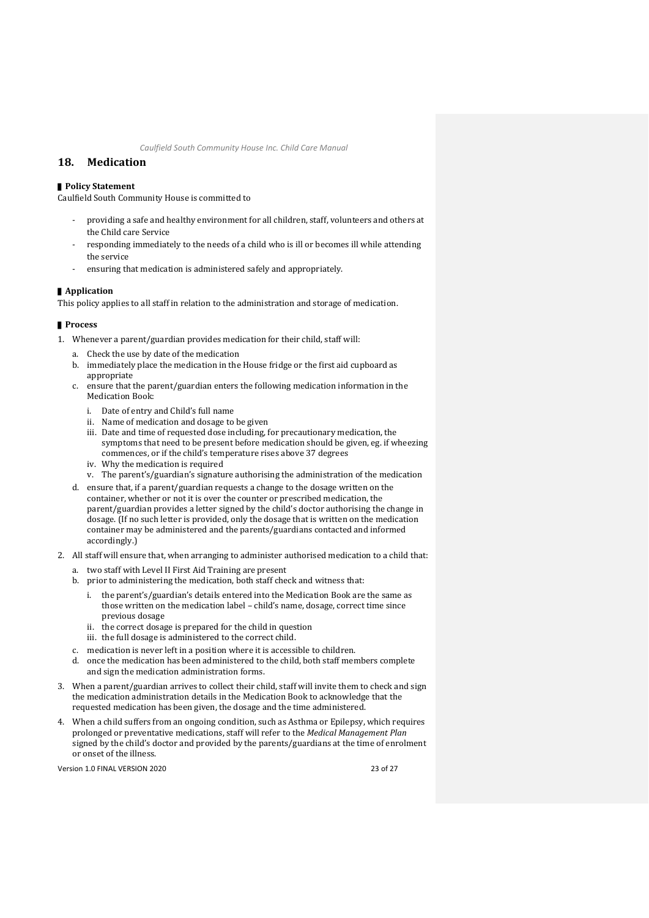## <span id="page-26-0"></span>**18. Medication**

## ■ **Policy Statement**

Caulfield South Community House is committed to

- providing a safe and healthy environment for all children, staff, volunteers and others at the Child care Service
- responding immediately to the needs of a child who is ill or becomes ill while attending the service
- ensuring that medication is administered safely and appropriately.

#### ▌**Application**

This policy applies to all staff in relation to the administration and storage of medication.

#### ▌**Process**

- 1. Whenever a parent/guardian provides medication for their child, staff will:
	- a. Check the use by date of the medication
	- b. immediately place the medication in the House fridge or the first aid cupboard as appropriate
	- c. ensure that the parent/guardian enters the following medication information in the Medication Book:
		- i. Date of entry and Child's full name
		- ii. Name of medication and dosage to be given
		- iii. Date and time of requested dose including, for precautionary medication, the symptoms that need to be present before medication should be given, eg. if wheezing commences, or if the child's temperature rises above 37 degrees
		- iv. Why the medication is required
		- v. The parent's/guardian's signature authorising the administration of the medication
	- d. ensure that, if a parent/guardian requests a change to the dosage written on the container, whether or not it is over the counter or prescribed medication, the parent/guardian provides a letter signed by the child's doctor authorising the change in dosage. (If no such letter is provided, only the dosage that is written on the medication container may be administered and the parents/guardians contacted and informed accordingly.)
- 2. All staff will ensure that, when arranging to administer authorised medication to a child that:
	- a. two staff with Level II First Aid Training are present
	- b. prior to administering the medication, both staff check and witness that:
		- i. the parent's/guardian's details entered into the Medication Book are the same as those written on the medication label – child's name, dosage, correct time since previous dosage
		- ii. the correct dosage is prepared for the child in question
		- iii. the full dosage is administered to the correct child.
	- c. medication is never left in a position where it is accessible to children.
	- d. once the medication has been administered to the child, both staff members complete and sign the medication administration forms.
- 3. When a parent/guardian arrives to collect their child, staff will invite them to check and sign the medication administration details in the Medication Book to acknowledge that the requested medication has been given, the dosage and the time administered.
- 4. When a child suffers from an ongoing condition, such as Asthma or Epilepsy, which requires prolonged or preventative medications, staff will refer to the *Medical Management Plan* signed by the child's doctor and provided by the parents/guardians at the time of enrolment or onset of the illness.

Version 1.0 FINAL VERSION 2020<br>23 of 27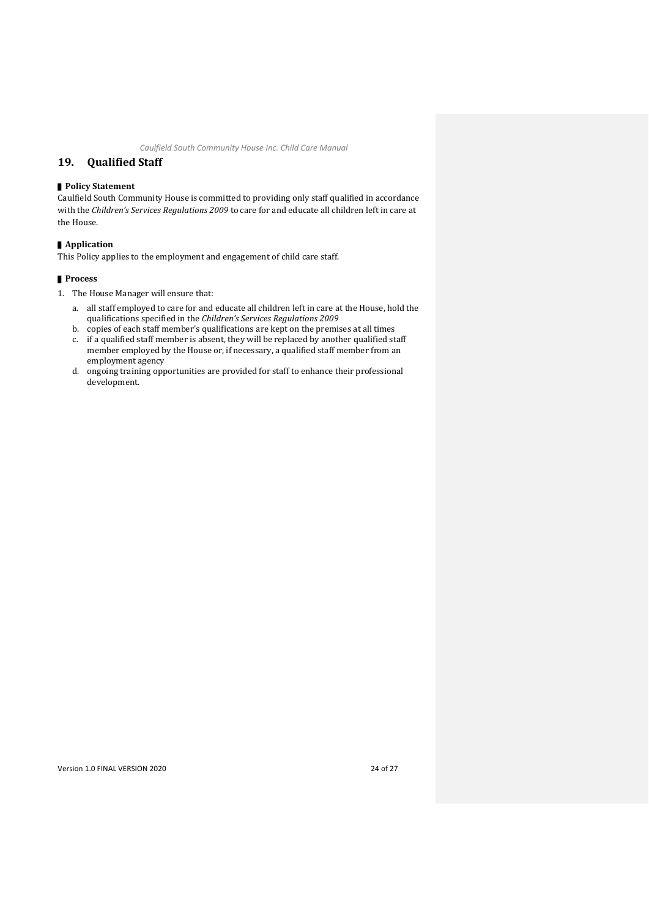## <span id="page-27-0"></span>**19. Qualified Staff**

#### ▌**Policy Statement**

Caulfield South Community House is committed to providing only staff qualified in accordance with the *Children's Services Regulations 2009* to care for and educate all children left in care at the House.

#### ▌**Application**

This Policy applies to the employment and engagement of child care staff.

#### ▌**Process**

- 1. The House Manager will ensure that:
	- a. all staff employed to care for and educate all children left in care at the House, hold the qualifications specified in the *Children's Services Regulations 2009*
	- b. copies of each staff member's qualifications are kept on the premises at all times
	- c. if a qualified staff member is absent, they will be replaced by another qualified staff member employed by the House or, if necessary, a qualified staff member from an employment agency
	- d. ongoing training opportunities are provided for staff to enhance their professional development.

Version 1.0 FINAL VERSION 2020 24 of 27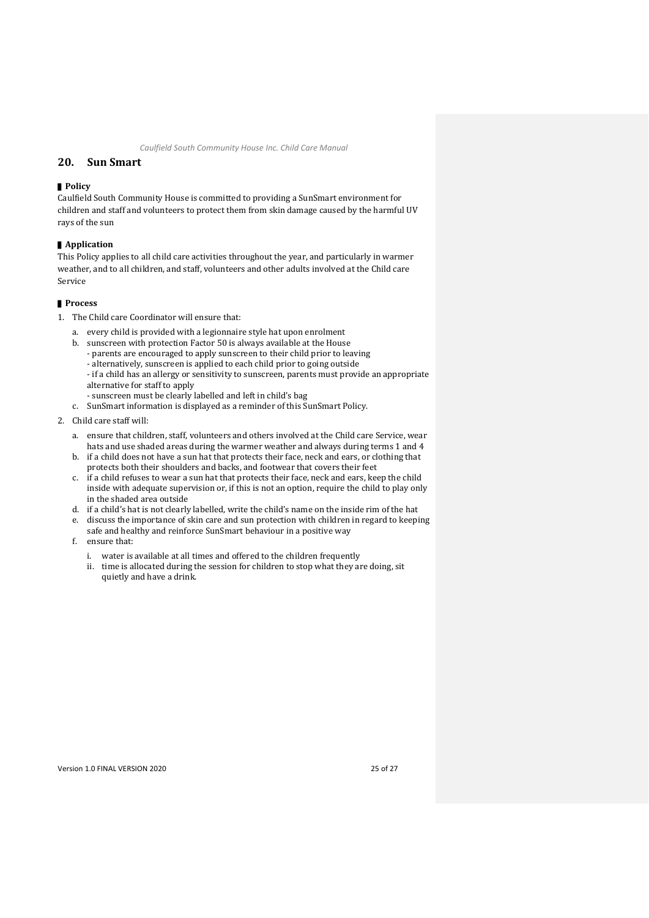## <span id="page-28-0"></span>**20. Sun Smart**

#### ▌**Policy**

Caulfield South Community House is committed to providing a SunSmart environment for children and staff and volunteers to protect them from skin damage caused by the harmful UV rays of the sun

#### ▌**Application**

This Policy applies to all child care activities throughout the year, and particularly in warmer weather, and to all children, and staff, volunteers and other adults involved at the Child care Service

- 1. The Child care Coordinator will ensure that:
	- a. every child is provided with a legionnaire style hat upon enrolment
	- b. sunscreen with protection Factor 50 is always available at the House
		- parents are encouraged to apply sunscreen to their child prior to leaving
		- alternatively, sunscreen is applied to each child prior to going outside
		- if a child has an allergy or sensitivity to sunscreen, parents must provide an appropriate alternative for staff to apply
		- sunscreen must be clearly labelled and left in child's bag
	- c. SunSmart information is displayed as a reminder of this SunSmart Policy.
- 2. Child care staff will:
	- a. ensure that children, staff, volunteers and others involved at the Child care Service, wear hats and use shaded areas during the warmer weather and always during terms 1 and 4 b. if a child does not have a sun hat that protects their face, neck and ears, or clothing that
	- protects both their shoulders and backs, and footwear that covers their feet
	- c. if a child refuses to wear a sun hat that protects their face, neck and ears, keep the child inside with adequate supervision or, if this is not an option, require the child to play only in the shaded area outside
	- d. if a child's hat is not clearly labelled, write the child's name on the inside rim of the hat
	- e. discuss the importance of skin care and sun protection with children in regard to keeping safe and healthy and reinforce SunSmart behaviour in a positive way
	- f. ensure that:
		- i. water is available at all times and offered to the children frequently
		- ii. time is allocated during the session for children to stop what they are doing, sit quietly and have a drink.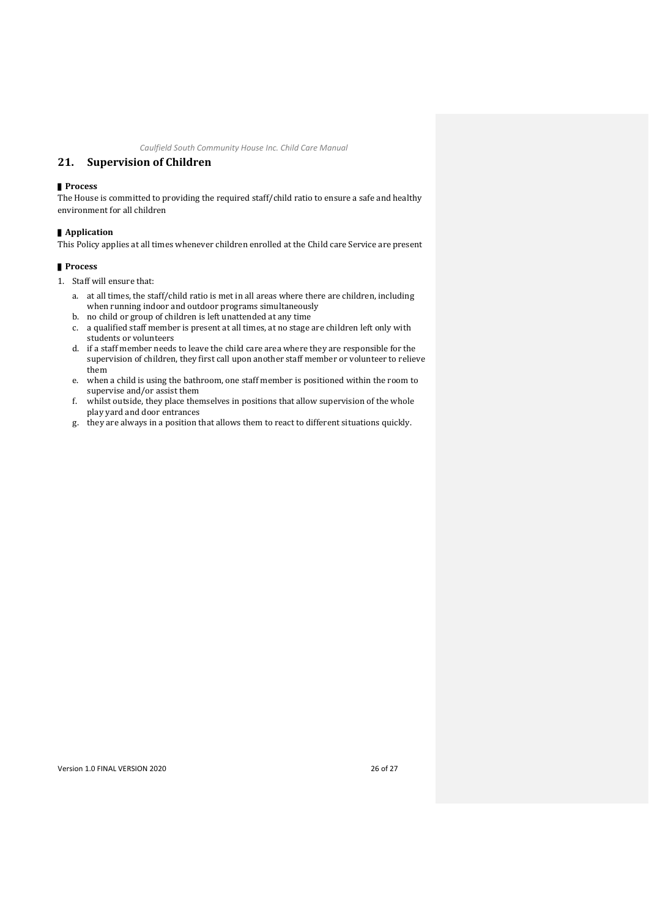## <span id="page-29-0"></span>**21. Supervision of Children**

#### ▌**Process**

The House is committed to providing the required staff/child ratio to ensure a safe and healthy environment for all children

#### ▌**Application**

This Policy applies at all times whenever children enrolled at the Child care Service are present

- 1. Staff will ensure that:
	- a. at all times, the staff/child ratio is met in all areas where there are children, including when running indoor and outdoor programs simultaneously
	- b. no child or group of children is left unattended at any time
	- c. a qualified staff member is present at all times, at no stage are children left only with students or volunteers
	- d. if a staff member needs to leave the child care area where they are responsible for the supervision of children, they first call upon another staff member or volunteer to relieve them
	- e. when a child is using the bathroom, one staff member is positioned within the room to supervise and/or assist them
	- f. whilst outside, they place themselves in positions that allow supervision of the whole play yard and door entrances
	- g. they are always in a position that allows them to react to different situations quickly.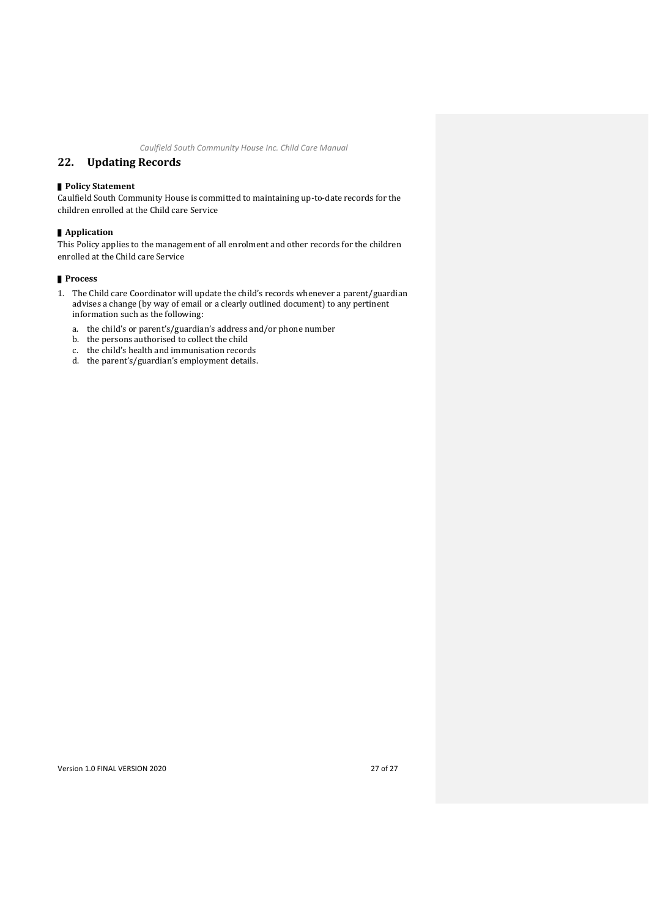## <span id="page-30-0"></span>**22. Updating Records**

### ■ **Policy Statement**

Caulfield South Community House is committed to maintaining up-to-date records for the children enrolled at the Child care Service

#### ▌**Application**

This Policy applies to the management of all enrolment and other records for the children enrolled at the Child care Service

- 1. The Child care Coordinator will update the child's records whenever a parent/guardian advises a change (by way of email or a clearly outlined document) to any pertinent information such as the following:
	- a. the child's or parent's/guardian's address and/or phone number
	- b. the persons authorised to collect the child
	- c. the child's health and immunisation records
	- d. the parent's/guardian's employment details.